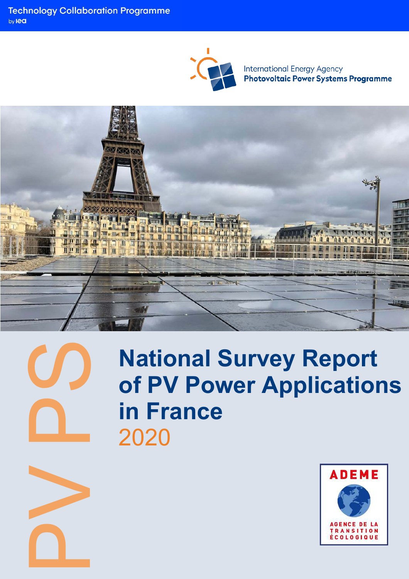

International Energy Agency<br>**Photovoltaic Power Systems Programme** 





# **National Survey Report of PV Power Applications in France**  2020



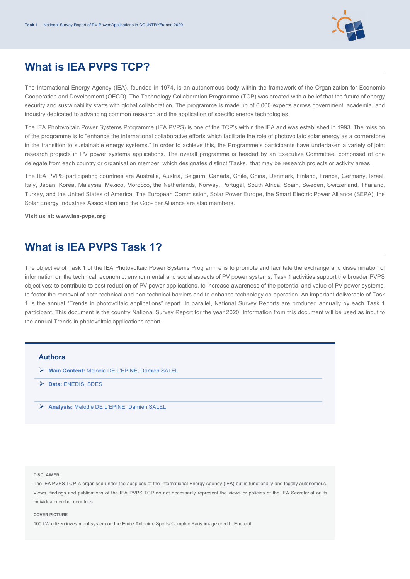

# **What is IEA PVPS TCP?**

The International Energy Agency (IEA), founded in 1974, is an autonomous body within the framework of the Organization for Economic Cooperation and Development (OECD). The Technology Collaboration Programme (TCP) was created with a belief that the future of energy security and sustainability starts with global collaboration. The programme is made up of 6.000 experts across government, academia, and industry dedicated to advancing common research and the application of specific energy technologies.

The IEA Photovoltaic Power Systems Programme (IEA PVPS) is one of the TCP's within the IEA and was established in 1993. The mission of the programme is to "enhance the international collaborative efforts which facilitate the role of photovoltaic solar energy as a cornerstone in the transition to sustainable energy systems." In order to achieve this, the Programme's participants have undertaken a variety of joint research projects in PV power systems applications. The overall programme is headed by an Executive Committee, comprised of one delegate from each country or organisation member, which designates distinct 'Tasks,' that may be research projects or activity areas.

The IEA PVPS participating countries are Australia, Austria, Belgium, Canada, Chile, China, Denmark, Finland, France, Germany, Israel, Italy, Japan, Korea, Malaysia, Mexico, Morocco, the Netherlands, Norway, Portugal, South Africa, Spain, Sweden, Switzerland, Thailand, Turkey, and the United States of America. The European Commission, Solar Power Europe, the Smart Electric Power Alliance (SEPA), the Solar Energy Industries Association and the Cop- per Alliance are also members.

**Visit us at[: www.iea-pvps.org](http://www.iea-pvps.org/)**

# **What is IEA PVPS Task 1?**

The objective of Task 1 of the IEA Photovoltaic Power Systems Programme is to promote and facilitate the exchange and dissemination of information on the technical, economic, environmental and social aspects of PV power systems. Task 1 activities support the broader PVPS objectives: to contribute to cost reduction of PV power applications, to increase awareness of the potential and value of PV power systems, to foster the removal of both technical and non-technical barriers and to enhance technology co-operation. An important deliverable of Task 1 is the annual "Trends in photovoltaic applications" report. In parallel, National Survey Reports are produced annually by each Task 1 participant. This document is the country National Survey Report for the year 2020. Information from this document will be used as input to the annual Trends in photovoltaic applications report.

#### **Authors**

- **Main Content:** Melodie DE L'EPINE, Damien SALEL
- **Data:** ENEDIS, SDES
- **Analysis:** Melodie DE L'EPINE, Damien SALEL

#### **DISCLAIMER**

The IEA PVPS TCP is organised under the auspices of the International Energy Agency (IEA) but is functionally and legally autonomous. Views, findings and publications of the IEA PVPS TCP do not necessarily represent the views or policies of the IEA Secretariat or its individual member countries

#### **COVER PICTURE**

100 kW citizen investment system on the Emile Anthoine Sports Complex Paris image credit: Enercitif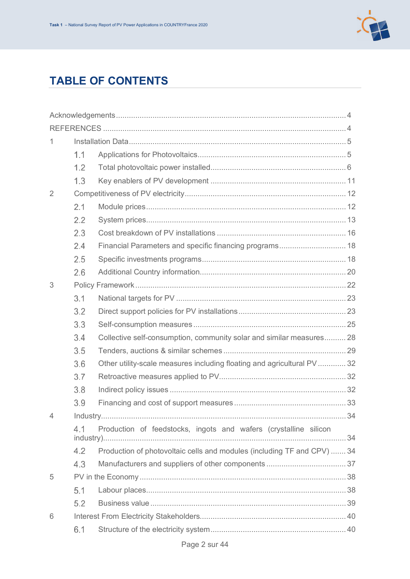

# **TABLE OF CONTENTS**

| 1 |           |                                                                         |    |  |  |  |  |
|---|-----------|-------------------------------------------------------------------------|----|--|--|--|--|
|   | 1.1       |                                                                         |    |  |  |  |  |
|   | 1.2       |                                                                         |    |  |  |  |  |
|   | 1.3       |                                                                         |    |  |  |  |  |
| 2 |           |                                                                         |    |  |  |  |  |
|   | 2.1       |                                                                         |    |  |  |  |  |
|   | 2.2       |                                                                         |    |  |  |  |  |
|   | 2.3       |                                                                         |    |  |  |  |  |
|   | 2.4       |                                                                         |    |  |  |  |  |
|   | 2.5       |                                                                         |    |  |  |  |  |
|   | 2.6       |                                                                         |    |  |  |  |  |
| 3 |           |                                                                         |    |  |  |  |  |
|   | 3.1       |                                                                         |    |  |  |  |  |
|   | 3.2       |                                                                         |    |  |  |  |  |
|   | 3.3       |                                                                         |    |  |  |  |  |
|   | 3.4       | Collective self-consumption, community solar and similar measures 28    |    |  |  |  |  |
|   | 3.5       |                                                                         |    |  |  |  |  |
|   | 3.6       | Other utility-scale measures including floating and agricultural PV  32 |    |  |  |  |  |
|   | 3.7       |                                                                         |    |  |  |  |  |
|   | 3.8       |                                                                         |    |  |  |  |  |
|   | 3.9       |                                                                         |    |  |  |  |  |
| 4 | Industry. |                                                                         | 34 |  |  |  |  |
|   | 4.1       | Production of feedstocks, ingots and wafers (crystalline silicon        |    |  |  |  |  |
|   | 4.2       | Production of photovoltaic cells and modules (including TF and CPV)  34 |    |  |  |  |  |
|   | 4.3       |                                                                         |    |  |  |  |  |
| 5 |           |                                                                         |    |  |  |  |  |
|   | 5.1       |                                                                         |    |  |  |  |  |
|   | 5.2       |                                                                         |    |  |  |  |  |
| 6 |           |                                                                         |    |  |  |  |  |
|   | 6.1       |                                                                         |    |  |  |  |  |
|   |           |                                                                         |    |  |  |  |  |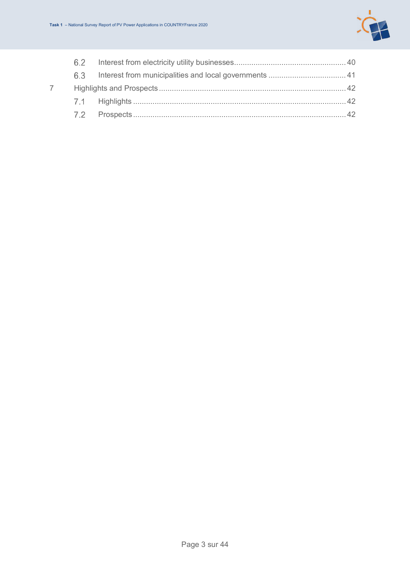

|  | 6.2 |  |
|--|-----|--|
|  |     |  |
|  |     |  |
|  |     |  |
|  |     |  |
|  |     |  |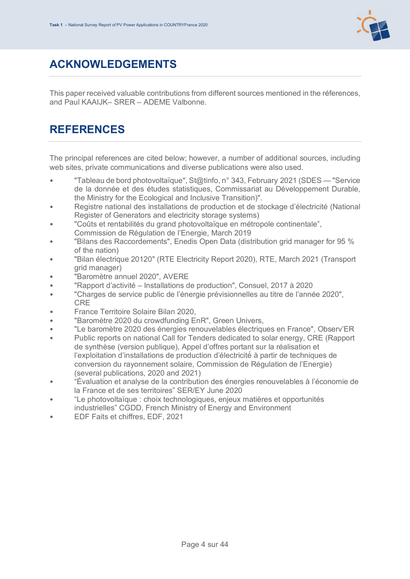

# <span id="page-4-0"></span>**ACKNOWLEDGEMENTS**

This paper received valuable contributions from different sources mentioned in the réferences, and Paul KAAIJK– SRER – ADEME Valbonne.

# <span id="page-4-1"></span>**REFERENCES**

The principal references are cited below; however, a number of additional sources, including web sites, private communications and diverse publications were also used.

- "Tableau de bord photovoltaïque", St@tinfo, n° 343, February 2021 (SDES "Service de la donnée et des études statistiques, Commissariat au Développement Durable, the Ministry for the Ecological and Inclusive Transition)".
- Registre national des installations de production et de stockage d'électricité (National Register of Generators and electricity storage systems)
- "Coûts et rentabilités du grand photovoltaïque en métropole continentale", Commission de Régulation de l'Energie, March 2019
- "Bilans des Raccordements", Enedis Open Data (distribution grid manager for 95 % of the nation)
- "Bilan électrique 20120" (RTE Electricity Report 2020), RTE, March 2021 (Transport grid manager)
- "Baromètre annuel 2020", AVERE
- "Rapport d'activité Installations de production", Consuel, 2017 à 2020
- "Charges de service public de l'énergie prévisionnelles au titre de l'année 2020", **CRE**
- France Territoire Solaire Bilan 2020,
- "Baromètre 2020 du crowdfunding EnR", Green Univers,
- "Le baromètre 2020 des énergies renouvelables électriques en France", Observ'ER
- Public reports on national Call for Tenders dedicated to solar energy, CRE (Rapport de synthèse (version publique), Appel d'offres portant sur la réalisation et l'exploitation d'installations de production d'électricité́ à partir de techniques de conversion du rayonnement solaire, Commission de Régulation de l'Energie) (several publications, 2020 and 2021)
- "Évaluation et analyse de la contribution des énergies renouvelables à l'économie de la France et de ses territoires" SER/EY June 2020
- "Le photovoltaïque : choix technologiques, enjeux matières et opportunités industrielles" CGDD, French Ministry of Energy and Environment
- EDF Faits et chiffres, EDF, 2021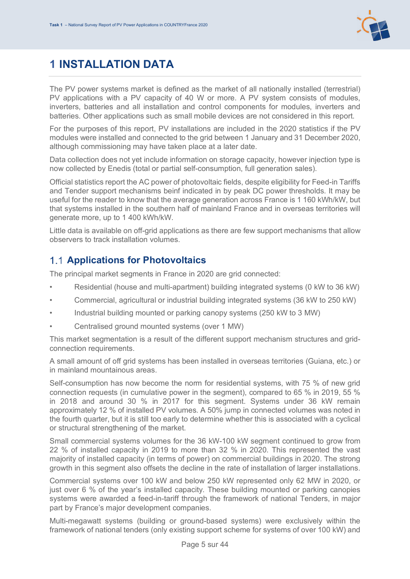

# <span id="page-5-0"></span>**1 INSTALLATION DATA**

The PV power systems market is defined as the market of all nationally installed (terrestrial) PV applications with a PV capacity of 40 W or more. A PV system consists of modules, inverters, batteries and all installation and control components for modules, inverters and batteries. Other applications such as small mobile devices are not considered in this report.

For the purposes of this report, PV installations are included in the 2020 statistics if the PV modules were installed and connected to the grid between 1 January and 31 December 2020, although commissioning may have taken place at a later date.

Data collection does not yet include information on storage capacity, however injection type is now collected by Enedis (total or partial self-consumption, full generation sales).

Official statistics report the AC power of photovoltaic fields, despite eligibility for Feed-in Tariffs and Tender support mechanisms beinf indicated in by peak DC power thresholds. It may be useful for the reader to know that the average generation across France is 1 160 kWh/kW, but that systems installed in the southern half of mainland France and in overseas territories will generate more, up to 1 400 kWh/kW.

Little data is available on off-grid applications as there are few support mechanisms that allow observers to track installation volumes.

# <span id="page-5-1"></span>**1.1 Applications for Photovoltaics**

The principal market segments in France in 2020 are grid connected:

- Residential (house and multi-apartment) building integrated systems (0 kW to 36 kW)
- Commercial, agricultural or industrial building integrated systems (36 kW to 250 kW)
- Industrial building mounted or parking canopy systems (250 kW to 3 MW)
- Centralised ground mounted systems (over 1 MW)

This market segmentation is a result of the different support mechanism structures and gridconnection requirements.

A small amount of off grid systems has been installed in overseas territories (Guiana, etc.) or in mainland mountainous areas.

Self-consumption has now become the norm for residential systems, with 75 % of new grid connection requests (in cumulative power in the segment), compared to 65 % in 2019, 55 % in 2018 and around 30 % in 2017 for this segment. Systems under 36 kW remain approximately 12 % of installed PV volumes. A 50% jump in connected volumes was noted in the fourth quarter, but it is still too early to determine whether this is associated with a cyclical or structural strengthening of the market.

Small commercial systems volumes for the 36 kW-100 kW segment continued to grow from 22 % of installed capacity in 2019 to more than 32 % in 2020. This represented the vast majority of installed capacity (in terms of power) on commercial buildings in 2020. The strong growth in this segment also offsets the decline in the rate of installation of larger installations.

Commercial systems over 100 kW and below 250 kW represented only 62 MW in 2020, or just over 6 % of the year's installed capacity. These building mounted or parking canopies systems were awarded a feed-in-tariff through the framework of national Tenders, in major part by France's major development companies.

Multi-megawatt systems (building or ground-based systems) were exclusively within the framework of national tenders (only existing support scheme for systems of over 100 kW) and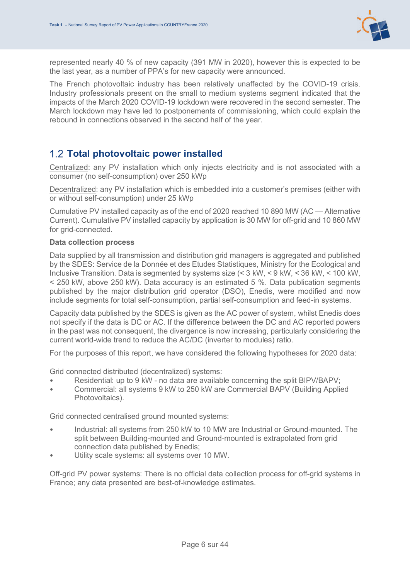

represented nearly 40 % of new capacity (391 MW in 2020), however this is expected to be the last year, as a number of PPA's for new capacity were announced.

The French photovoltaic industry has been relatively unaffected by the COVID-19 crisis. Industry professionals present on the small to medium systems segment indicated that the impacts of the March 2020 COVID-19 lockdown were recovered in the second semester. The March lockdown may have led to postponements of commissioning, which could explain the rebound in connections observed in the second half of the year.

# <span id="page-6-0"></span>**Total photovoltaic power installed**

Centralized: any PV installation which only injects electricity and is not associated with a consumer (no self-consumption) over 250 kWp

Decentralized: any PV installation which is embedded into a customer's premises (either with or without self-consumption) under 25 kWp

Cumulative PV installed capacity as of the end of 2020 reached 10 890 MW (AC — Alternative Current). Cumulative PV installed capacity by application is 30 MW for off-grid and 10 860 MW for grid-connected.

#### **Data collection process**

Data supplied by all transmission and distribution grid managers is aggregated and published by the SDES: Service de la Donnée et des Etudes Statistiques, Ministry for the Ecological and Inclusive Transition. Data is segmented by systems size (< 3 kW, < 9 kW, < 36 kW, < 100 kW, < 250 kW, above 250 kW). Data accuracy is an estimated 5 %. Data publication segments published by the major distribution grid operator (DSO), Enedis, were modified and now include segments for total self-consumption, partial self-consumption and feed-in systems.

Capacity data published by the SDES is given as the AC power of system, whilst Enedis does not specify if the data is DC or AC. If the difference between the DC and AC reported powers in the past was not consequent, the divergence is now increasing, particularly considering the current world-wide trend to reduce the AC/DC (inverter to modules) ratio.

For the purposes of this report, we have considered the following hypotheses for 2020 data:

Grid connected distributed (decentralized) systems:

- Residential: up to 9 kW no data are available concerning the split BIPV/BAPV;
- Commercial: all systems 9 kW to 250 kW are Commercial BAPV (Building Applied Photovoltaics).

Grid connected centralised ground mounted systems:

- Industrial: all systems from 250 kW to 10 MW are Industrial or Ground-mounted. The split between Building-mounted and Ground-mounted is extrapolated from grid connection data published by Enedis;
- Utility scale systems: all systems over 10 MW.

Off-grid PV power systems: There is no official data collection process for off-grid systems in France; any data presented are best-of-knowledge estimates.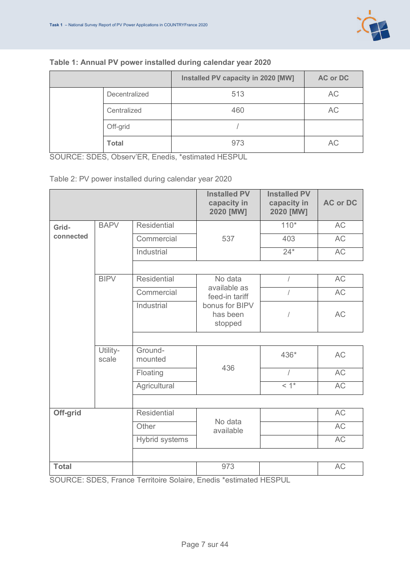

| Table 1: Annual PV power installed during calendar year 2020 |  |
|--------------------------------------------------------------|--|
|--------------------------------------------------------------|--|

|  |               | Installed PV capacity in 2020 [MW] | <b>AC or DC</b> |
|--|---------------|------------------------------------|-----------------|
|  | Decentralized | 513                                | AC              |
|  | Centralized   | 460                                | <b>AC</b>       |
|  | Off-grid      |                                    |                 |
|  | <b>Total</b>  | 973                                | AC              |

SOURCE: SDES, Observ'ER, Enedis, \*estimated HESPUL

|  |  |  | Table 2: PV power installed during calendar year 2020 |
|--|--|--|-------------------------------------------------------|
|  |  |  |                                                       |

|              |                   |                                                                      | <b>Installed PV</b><br>capacity in<br>2020 [MW] | <b>Installed PV</b><br>capacity in<br>2020 [MW] | <b>AC or DC</b> |
|--------------|-------------------|----------------------------------------------------------------------|-------------------------------------------------|-------------------------------------------------|-----------------|
| Grid-        | <b>BAPV</b>       | <b>Residential</b>                                                   |                                                 | $110*$                                          | <b>AC</b>       |
| connected    |                   | Commercial                                                           | 537                                             | 403                                             | <b>AC</b>       |
|              |                   | Industrial                                                           |                                                 | $24*$                                           | <b>AC</b>       |
|              |                   |                                                                      |                                                 |                                                 |                 |
|              | <b>BIPV</b>       | <b>Residential</b>                                                   | No data<br>available as                         |                                                 | <b>AC</b>       |
|              |                   | Commercial                                                           | feed-in tariff                                  | $\sqrt{2}$                                      | <b>AC</b>       |
|              |                   | Industrial                                                           | bonus for BIPV<br>has been<br>stopped           |                                                 | <b>AC</b>       |
|              |                   |                                                                      |                                                 |                                                 |                 |
|              | Utility-<br>scale | Ground-<br>mounted                                                   | 436                                             | 436*                                            | <b>AC</b>       |
|              |                   | Floating                                                             |                                                 |                                                 | <b>AC</b>       |
|              |                   | Agricultural                                                         |                                                 | $< 1$ *                                         | <b>AC</b>       |
|              |                   |                                                                      |                                                 |                                                 |                 |
| Off-grid     |                   | Residential                                                          | No data                                         |                                                 | <b>AC</b>       |
|              |                   | Other                                                                | available                                       |                                                 | <b>AC</b>       |
|              |                   | Hybrid systems                                                       |                                                 |                                                 | <b>AC</b>       |
|              |                   |                                                                      |                                                 |                                                 |                 |
| <b>Total</b> |                   | COLIDAE: CDEC. France Territoire Coloire, Enodia *ootimated LIECDUIL | 973                                             |                                                 | <b>AC</b>       |

SOURCE: SDES, France Territoire Solaire, Enedis \*estimated HESPUL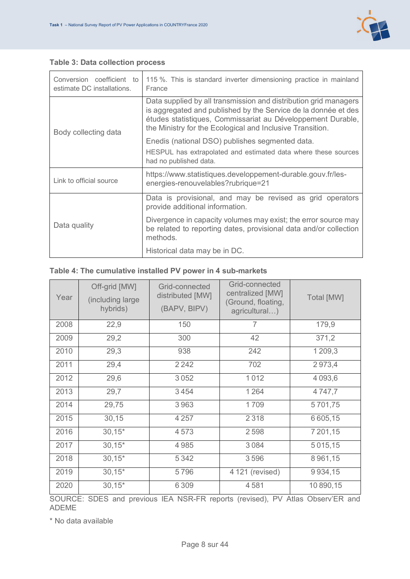

### **Table 3: Data collection process**

| Conversion coefficient to<br>estimate DC installations. | 115 %. This is standard inverter dimensioning practice in mainland<br>France                                                                                                                                                                                   |
|---------------------------------------------------------|----------------------------------------------------------------------------------------------------------------------------------------------------------------------------------------------------------------------------------------------------------------|
| Body collecting data                                    | Data supplied by all transmission and distribution grid managers<br>is aggregated and published by the Service de la donnée et des<br>études statistiques, Commissariat au Développement Durable,<br>the Ministry for the Ecological and Inclusive Transition. |
|                                                         | Enedis (national DSO) publishes segmented data.<br>HESPUL has extrapolated and estimated data where these sources<br>had no published data.                                                                                                                    |
| Link to official source                                 | https://www.statistiques.developpement-durable.gouv.fr/les-<br>energies-renouvelables?rubrique=21                                                                                                                                                              |
|                                                         | Data is provisional, and may be revised as grid operators<br>provide additional information.                                                                                                                                                                   |
| Data quality                                            | Divergence in capacity volumes may exist; the error source may<br>be related to reporting dates, provisional data and/or collection<br>methods.                                                                                                                |
|                                                         | Historical data may be in DC.                                                                                                                                                                                                                                  |

# **Table 4: The cumulative installed PV power in 4 sub-markets**

| Year | Off-grid [MW]<br>(including large<br>hybrids) | Grid-connected<br>distributed [MW]<br>(BAPV, BIPV) | Grid-connected<br>centralized [MW]<br>(Ground, floating,<br>agricultural) | Total [MW]   |
|------|-----------------------------------------------|----------------------------------------------------|---------------------------------------------------------------------------|--------------|
| 2008 | 22,9                                          | 150                                                | $\overline{7}$                                                            | 179,9        |
| 2009 | 29,2                                          | 300                                                | 42                                                                        | 371,2        |
| 2010 | 29,3                                          | 938                                                | 242                                                                       | 1 209,3      |
| 2011 | 29,4                                          | 2 2 4 2                                            | 702                                                                       | 2973,4       |
| 2012 | 29,6                                          | 3052                                               | 1012                                                                      | 4 0 9 3 , 6  |
| 2013 | 29,7                                          | 3454                                               | 1 2 6 4                                                                   | 4747,7       |
| 2014 | 29,75                                         | 3963                                               | 1709                                                                      | 5701,75      |
| 2015 | 30,15                                         | 4 2 5 7                                            | 2318                                                                      | 6 605,15     |
| 2016 | $30,15*$                                      | 4573                                               | 2598                                                                      | 7 201,15     |
| 2017 | $30,15*$                                      | 4985                                               | 3084                                                                      | 5 0 1 5, 1 5 |
| 2018 | $30,15*$                                      | 5342                                               | 3596                                                                      | 8961,15      |
| 2019 | $30,15*$                                      | 5796                                               | 4 121 (revised)                                                           | 9934,15      |
| 2020 | $30,15*$                                      | 6309                                               | 4581                                                                      | 10 890,15    |

SOURCE: SDES and previous IEA NSR-FR reports (revised), PV Atlas Observ'ER and ADEME

\* No data available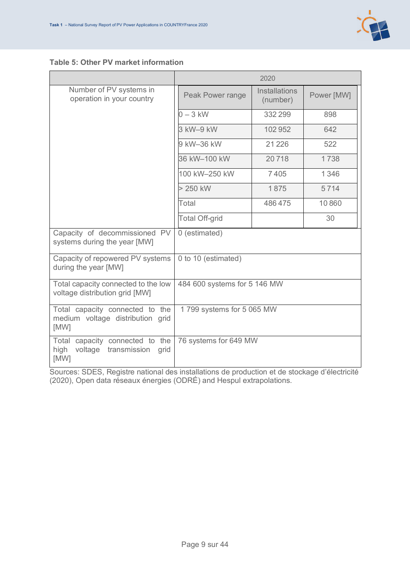

#### **Table 5: Other PV market information**

|                                                                                    | 2020                         |                           |            |  |
|------------------------------------------------------------------------------------|------------------------------|---------------------------|------------|--|
| Number of PV systems in<br>operation in your country                               | Peak Power range             | Installations<br>(number) | Power [MW] |  |
|                                                                                    | $0 - 3$ kW                   | 332 299                   | 898        |  |
|                                                                                    | 3 kW-9 kW                    | 102952                    | 642        |  |
|                                                                                    | 9 kW-36 kW                   | 21 2 26                   | 522        |  |
|                                                                                    | 36 kW-100 kW                 | 20718                     | 1738       |  |
|                                                                                    | 100 kW-250 kW                | 7405                      | 1 3 4 6    |  |
|                                                                                    | > 250 kW                     | 1875                      | 5714       |  |
|                                                                                    | Total                        | 486475                    | 10860      |  |
|                                                                                    | <b>Total Off-grid</b>        |                           | 30         |  |
| Capacity of decommissioned PV<br>systems during the year [MW]                      | 0 (estimated)                |                           |            |  |
| Capacity of repowered PV systems<br>during the year [MW]                           | 0 to 10 (estimated)          |                           |            |  |
| Total capacity connected to the low<br>voltage distribution grid [MW]              | 484 600 systems for 5 146 MW |                           |            |  |
| Total capacity connected to the<br>medium voltage distribution grid<br>[MW]        | 1799 systems for 5 065 MW    |                           |            |  |
| Total capacity connected to the<br>voltage<br>transmission<br>high<br>grid<br>[MW] | 76 systems for 649 MW        |                           |            |  |

Sources: SDES, Registre national des installations de production et de stockage d'électricité (2020), Open data réseaux énergies (ODRÉ) and Hespul extrapolations.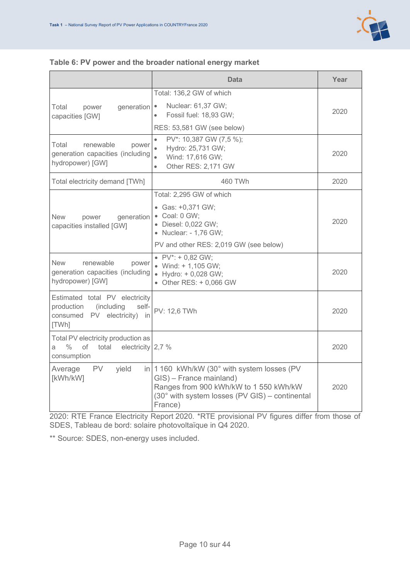

#### **Table 6: PV power and the broader national energy market**

|                                                                                                                   | Data                                                                                                                                                                                       | Year |
|-------------------------------------------------------------------------------------------------------------------|--------------------------------------------------------------------------------------------------------------------------------------------------------------------------------------------|------|
| generation<br>Total<br>power<br>capacities [GW]                                                                   | Total: 136,2 GW of which<br>Nuclear: 61,37 GW;<br>$\bullet$<br>Fossil fuel: 18,93 GW;<br>$\bullet$                                                                                         | 2020 |
| Total<br>renewable<br>power<br>generation capacities (including<br>hydropower) [GW]                               | RES: 53,581 GW (see below)<br>PV*: 10,387 GW (7,5 %);<br>$\bullet$<br>$\bullet$<br>Hydro: 25,731 GW;<br>$\bullet$<br>Wind: 17,616 GW;<br>Other RES: 2,171 GW<br>$\bullet$                  | 2020 |
| Total electricity demand [TWh]                                                                                    | 460 TWh                                                                                                                                                                                    | 2020 |
| <b>New</b><br>generation<br>power<br>capacities installed [GW]                                                    | Total: 2,295 GW of which<br>• Gas: +0,371 GW;<br>• Coal: 0 GW;<br>· Diesel: 0,022 GW;<br>• Nuclear: - 1,76 GW;<br>PV and other RES: 2,019 GW (see below)                                   | 2020 |
| <b>New</b><br>renewable<br>power<br>generation capacities (including<br>hydropower) [GW]                          | • $PV^*: +0.82$ GW;<br>• Wind: + 1,105 GW;<br>• Hydro: + 0,028 GW;<br>• Other RES: + 0,066 GW                                                                                              | 2020 |
| Estimated total PV electricity<br>production<br>(including<br>self-<br>consumed<br>PV electricity)<br>in<br>[TWh] | PV: 12,6 TWh                                                                                                                                                                               | 2020 |
| Total PV electricity production as<br>$\frac{0}{0}$<br>electricity 2,7 %<br>of<br>total<br>a<br>consumption       |                                                                                                                                                                                            | 2020 |
| <b>PV</b><br>yield<br>Average<br>[kWh/kW]                                                                         | in   1 160 $\,$ kWh/kW (30 $\,$ ° with system losses (PV<br>GIS) – France mainland)<br>Ranges from 900 kWh/kW to 1 550 kWh/kW<br>(30° with system losses (PV GIS) - continental<br>France) | 2020 |

2020: RTE France Electricity Report 2020. \*RTE provisional PV figures differ from those of SDES, Tableau de bord: solaire photovoltaïque in Q4 2020.

\*\* Source: SDES, non-energy uses included.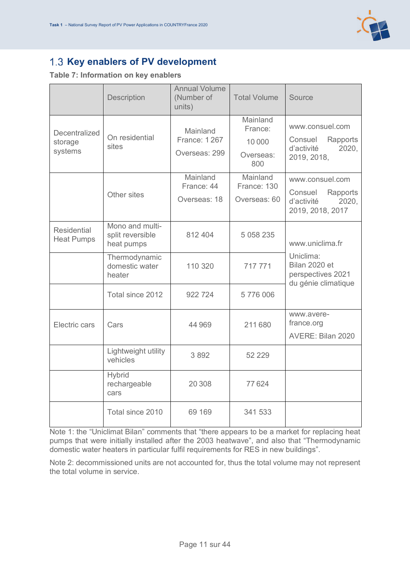

# <span id="page-11-0"></span>**1.3 Key enablers of PV development**

**Table 7: Information on key enablers**

|                                         | Description                                       | <b>Annual Volume</b><br>(Number of<br>units)     | <b>Total Volume</b>                               | Source                                                                            |
|-----------------------------------------|---------------------------------------------------|--------------------------------------------------|---------------------------------------------------|-----------------------------------------------------------------------------------|
| Decentralized<br>storage<br>systems     | On residential<br>sites                           | Mainland<br><b>France: 1267</b><br>Overseas: 299 | Mainland<br>France:<br>10 000<br>Overseas:<br>800 | www.consuel.com<br>Rapports<br>Consuel<br>d'activité<br>2020,<br>2019, 2018,      |
|                                         | Other sites                                       | Mainland<br>France: 44<br>Overseas: 18           | Mainland<br>France: 130<br>Overseas: 60           | www.consuel.com<br>Consuel<br>Rapports<br>d'activité<br>2020,<br>2019, 2018, 2017 |
| <b>Residential</b><br><b>Heat Pumps</b> | Mono and multi-<br>split reversible<br>heat pumps | 812 404                                          | 5 0 58 2 35                                       | www.uniclima.fr                                                                   |
|                                         | Thermodynamic<br>domestic water<br>heater         | 110 320                                          | 717771                                            | Uniclima:<br>Bilan 2020 et<br>perspectives 2021<br>du génie climatique            |
|                                         | Total since 2012                                  | 922 724                                          | 5776006                                           |                                                                                   |
| Electric cars                           | Cars                                              | 44 969                                           | 211 680                                           | www.avere-<br>france.org<br>AVERE: Bilan 2020                                     |
|                                         | Lightweight utility<br>vehicles                   | 3892                                             | 52 2 2 9                                          |                                                                                   |
|                                         | Hybrid<br>rechargeable<br>cars                    | 20 30 8                                          | 77624                                             |                                                                                   |
|                                         | Total since 2010                                  | 69 169                                           | 341 533                                           |                                                                                   |

Note 1: the "Uniclimat Bilan" comments that "there appears to be a market for replacing heat pumps that were initially installed after the 2003 heatwave", and also that "Thermodynamic domestic water heaters in particular fulfil requirements for RES in new buildings".

Note 2: decommissioned units are not accounted for, thus the total volume may not represent the total volume in service.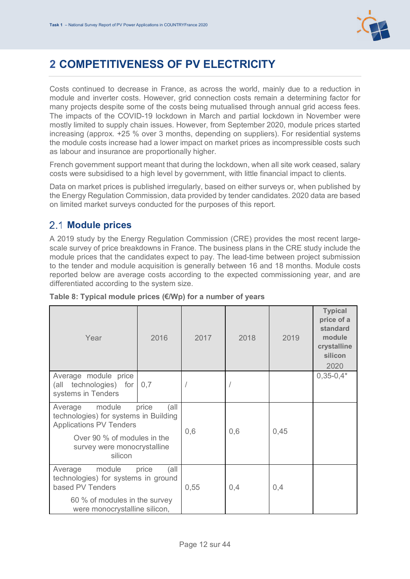

# <span id="page-12-0"></span>**2 COMPETITIVENESS OF PV ELECTRICITY**

Costs continued to decrease in France, as across the world, mainly due to a reduction in module and inverter costs. However, grid connection costs remain a determining factor for many projects despite some of the costs being mutualised through annual grid access fees. The impacts of the COVID-19 lockdown in March and partial lockdown in November were mostly limited to supply chain issues. However, from September 2020, module prices started increasing (approx. +25 % over 3 months, depending on suppliers). For residential systems the module costs increase had a lower impact on market prices as incompressible costs such as labour and insurance are proportionally higher.

French government support meant that during the lockdown, when all site work ceased, salary costs were subsidised to a high level by government, with little financial impact to clients.

Data on market prices is published irregularly, based on either surveys or, when published by the Energy Regulation Commission, data provided by tender candidates. 2020 data are based on limited market surveys conducted for the purposes of this report.

# <span id="page-12-1"></span>**Module prices**

A 2019 study by the Energy Regulation Commission (CRE) provides the most recent largescale survey of price breakdowns in France. The business plans in the CRE study include the module prices that the candidates expect to pay. The lead-time between project submission to the tender and module acquisition is generally between 16 and 18 months. Module costs reported below are average costs according to the expected commissioning year, and are differentiated according to the system size.

| Year                                                                                                                                                                        | 2016           | 2017 | 2018 | 2019 | <b>Typical</b><br>price of a<br>standard<br>module<br>crystalline<br>silicon<br>2020 |
|-----------------------------------------------------------------------------------------------------------------------------------------------------------------------------|----------------|------|------|------|--------------------------------------------------------------------------------------|
| Average module price<br>(all technologies) for<br>systems in Tenders                                                                                                        | 0,7            |      |      |      | $0,35-0,4*$                                                                          |
| Average module<br>price<br>technologies) for systems in Building<br><b>Applications PV Tenders</b><br>Over 90 % of modules in the<br>survey were monocrystalline<br>silicon | 0,6            | 0,6  | 0,45 |      |                                                                                      |
| module<br>Average<br>technologies) for systems in ground<br>based PV Tenders<br>60 % of modules in the survey<br>were monocrystalline silicon,                              | price<br>(all) | 0,55 | 0.4  | 0,4  |                                                                                      |

### **Table 8: Typical module prices (€/Wp) for a number of years**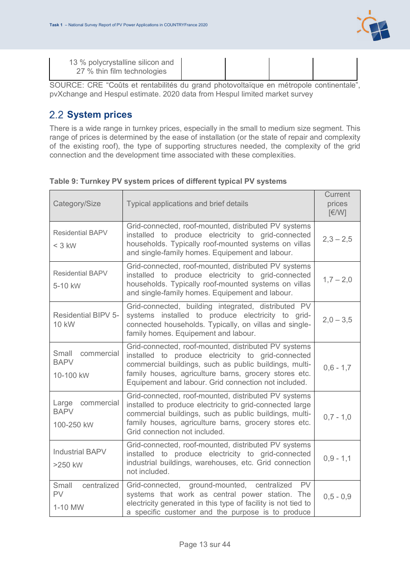

| 13 % polycrystalline silicon and |  |  |  |
|----------------------------------|--|--|--|
| 27 % thin film technologies      |  |  |  |
|                                  |  |  |  |

SOURCE: CRE "Coûts et rentabilités du grand photovoltaïque en métropole continentale", pvXchange and Hespul estimate. 2020 data from Hespul limited market survey

# <span id="page-13-0"></span>**System prices**

There is a wide range in turnkey prices, especially in the small to medium size segment. This range of prices is determined by the ease of installation (or the state of repair and complexity of the existing roof), the type of supporting structures needed, the complexity of the grid connection and the development time associated with these complexities.

| Category/Size                                    | Typical applications and brief details                                                                                                                                                                                                                                                | Current<br>prices<br>F(N) |
|--------------------------------------------------|---------------------------------------------------------------------------------------------------------------------------------------------------------------------------------------------------------------------------------------------------------------------------------------|---------------------------|
| <b>Residential BAPV</b><br>$<$ 3 kW              | Grid-connected, roof-mounted, distributed PV systems<br>installed to produce electricity to grid-connected<br>households. Typically roof-mounted systems on villas<br>and single-family homes. Equipement and labour.                                                                 | $2,3 - 2,5$               |
| <b>Residential BAPV</b><br>5-10 kW               | Grid-connected, roof-mounted, distributed PV systems<br>installed to produce electricity to grid-connected<br>households. Typically roof-mounted systems on villas<br>and single-family homes. Equipement and labour.                                                                 | $1,7 - 2,0$               |
| <b>Residential BIPV 5-</b><br><b>10 kW</b>       | Grid-connected, building integrated, distributed PV<br>systems installed to produce electricity to grid-<br>connected households. Typically, on villas and single-<br>family homes. Equipement and labour.                                                                            | $2,0 - 3,5$               |
| Small<br>commercial<br><b>BAPV</b><br>10-100 kW  | Grid-connected, roof-mounted, distributed PV systems<br>installed to produce electricity to grid-connected<br>commercial buildings, such as public buildings, multi-<br>family houses, agriculture barns, grocery stores etc.<br>Equipement and labour. Grid connection not included. | $0,6 - 1,7$               |
| Large<br>commercial<br><b>BAPV</b><br>100-250 kW | Grid-connected, roof-mounted, distributed PV systems<br>installed to produce electricity to grid-connected large<br>commercial buildings, such as public buildings, multi-<br>family houses, agriculture barns, grocery stores etc.<br>Grid connection not included.                  | $0.7 - 1,0$               |
| <b>Industrial BAPV</b><br>>250 kW                | Grid-connected, roof-mounted, distributed PV systems<br>installed to produce electricity to grid-connected<br>industrial buildings, warehouses, etc. Grid connection<br>not included.                                                                                                 | $0,9 - 1,1$               |
| centralized<br>Small<br><b>PV</b><br>1-10 MW     | Grid-connected, ground-mounted, centralized<br><b>PV</b><br>systems that work as central power station. The<br>electricity generated in this type of facility is not tied to<br>a specific customer and the purpose is to produce                                                     | $0,5 - 0,9$               |

### **Table 9: Turnkey PV system prices of different typical PV systems**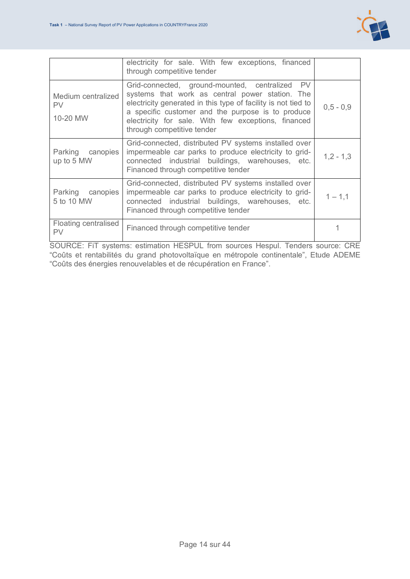

|                                             | electricity for sale. With few exceptions, financed<br>through competitive tender                                                                                                                                                                                                                                      |             |
|---------------------------------------------|------------------------------------------------------------------------------------------------------------------------------------------------------------------------------------------------------------------------------------------------------------------------------------------------------------------------|-------------|
| Medium centralized<br><b>PV</b><br>10-20 MW | Grid-connected, ground-mounted, centralized<br><b>PV</b><br>systems that work as central power station. The<br>electricity generated in this type of facility is not tied to<br>a specific customer and the purpose is to produce<br>electricity for sale. With few exceptions, financed<br>through competitive tender | $0,5 - 0,9$ |
| Parking canopies<br>up to 5 MW              | Grid-connected, distributed PV systems installed over<br>impermeable car parks to produce electricity to grid-<br>connected industrial buildings, warehouses, etc.<br>Financed through competitive tender                                                                                                              | $1,2 - 1,3$ |
| Parking canopies<br>5 to 10 MW              | Grid-connected, distributed PV systems installed over<br>impermeable car parks to produce electricity to grid-<br>connected industrial buildings, warehouses, etc.<br>Financed through competitive tender                                                                                                              | $1 - 1,1$   |
| <b>Floating centralised</b><br>PV           | Financed through competitive tender                                                                                                                                                                                                                                                                                    |             |

SOURCE: FiT systems: estimation HESPUL from sources Hespul. Tenders source: CRE "Coûts et rentabilités du grand photovoltaïque en métropole continentale", Etude ADEME "Coûts des énergies renouvelables et de récupération en France".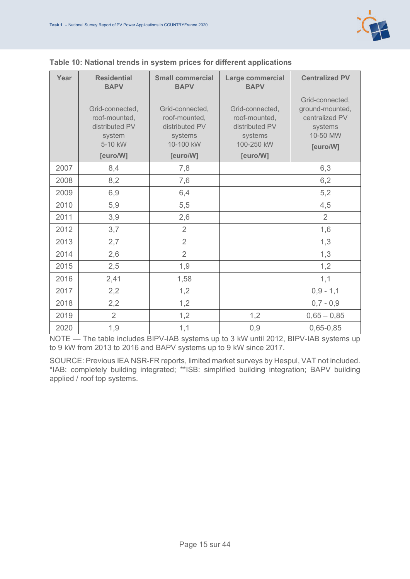

| Year | <b>Residential</b><br><b>BAPV</b>                                                   | <b>Small commercial</b><br><b>BAPV</b>                                                 | <b>Large commercial</b><br><b>BAPV</b>                                                  | <b>Centralized PV</b>                                                                   |
|------|-------------------------------------------------------------------------------------|----------------------------------------------------------------------------------------|-----------------------------------------------------------------------------------------|-----------------------------------------------------------------------------------------|
|      | Grid-connected,<br>roof-mounted,<br>distributed PV<br>system<br>5-10 kW<br>[euro/W] | Grid-connected,<br>roof-mounted,<br>distributed PV<br>systems<br>10-100 kW<br>[euro/W] | Grid-connected,<br>roof-mounted,<br>distributed PV<br>systems<br>100-250 kW<br>[euro/W] | Grid-connected,<br>ground-mounted,<br>centralized PV<br>systems<br>10-50 MW<br>[euro/W] |
| 2007 | 8,4                                                                                 | 7,8                                                                                    |                                                                                         | 6,3                                                                                     |
| 2008 | 8,2                                                                                 | 7,6                                                                                    |                                                                                         | 6,2                                                                                     |
| 2009 | 6,9                                                                                 | 6,4                                                                                    |                                                                                         | 5,2                                                                                     |
| 2010 | 5,9                                                                                 | 5,5                                                                                    |                                                                                         | 4,5                                                                                     |
| 2011 | 3,9                                                                                 | 2,6                                                                                    |                                                                                         | $\overline{2}$                                                                          |
| 2012 | 3,7                                                                                 | $\overline{2}$                                                                         |                                                                                         | 1,6                                                                                     |
| 2013 | 2,7                                                                                 | $\overline{2}$                                                                         |                                                                                         | 1,3                                                                                     |
| 2014 | 2,6                                                                                 | $\overline{2}$                                                                         |                                                                                         | 1,3                                                                                     |
| 2015 | 2,5                                                                                 | 1,9                                                                                    |                                                                                         | 1,2                                                                                     |
| 2016 | 2,41                                                                                | 1,58                                                                                   |                                                                                         | 1,1                                                                                     |
| 2017 | 2,2                                                                                 | 1,2                                                                                    |                                                                                         | $0,9 - 1,1$                                                                             |
| 2018 | 2,2                                                                                 | 1,2                                                                                    |                                                                                         | $0,7 - 0,9$                                                                             |
| 2019 | $\overline{2}$                                                                      | 1,2                                                                                    | 1,2                                                                                     | $0,65 - 0,85$                                                                           |
| 2020 | 1,9                                                                                 | 1,1                                                                                    | 0,9                                                                                     | $0,65 - 0,85$                                                                           |

**Table 10: National trends in system prices for different applications**

NOTE — The table includes BIPV-IAB systems up to 3 kW until 2012, BIPV-IAB systems up to 9 kW from 2013 to 2016 and BAPV systems up to 9 kW since 2017.

SOURCE: Previous IEA NSR-FR reports, limited market surveys by Hespul, VAT not included. \*IAB: completely building integrated; \*\*ISB: simplified building integration; BAPV building applied / roof top systems.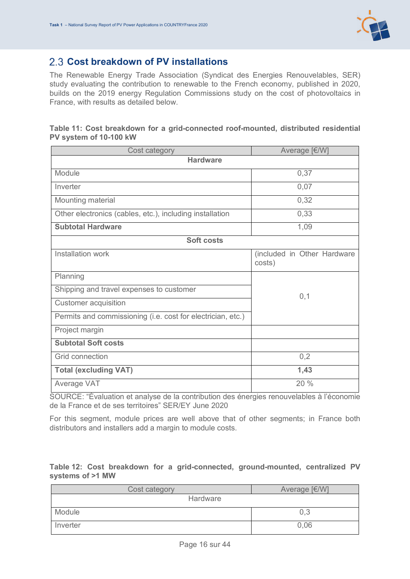

# <span id="page-16-0"></span>**Cost breakdown of PV installations**

The Renewable Energy Trade Association (Syndicat des Energies Renouvelables, SER) study evaluating the contribution to renewable to the French economy, published in 2020, builds on the 2019 energy Regulation Commissions study on the cost of photovoltaics in France, with results as detailed below.

# **Table 11: Cost breakdown for a grid-connected roof-mounted, distributed residential PV system of 10-100 kW**

| Cost category                                               | Average [€/W]                         |  |  |  |
|-------------------------------------------------------------|---------------------------------------|--|--|--|
| <b>Hardware</b>                                             |                                       |  |  |  |
| Module                                                      | 0,37                                  |  |  |  |
| Inverter                                                    | 0,07                                  |  |  |  |
| Mounting material                                           | 0,32                                  |  |  |  |
| Other electronics (cables, etc.), including installation    | 0,33                                  |  |  |  |
| <b>Subtotal Hardware</b>                                    | 1,09                                  |  |  |  |
| <b>Soft costs</b>                                           |                                       |  |  |  |
| Installation work                                           | (included in Other Hardware<br>costs) |  |  |  |
| Planning                                                    |                                       |  |  |  |
| Shipping and travel expenses to customer                    | 0,1                                   |  |  |  |
| <b>Customer acquisition</b>                                 |                                       |  |  |  |
| Permits and commissioning (i.e. cost for electrician, etc.) |                                       |  |  |  |
| Project margin                                              |                                       |  |  |  |
| <b>Subtotal Soft costs</b>                                  |                                       |  |  |  |
| Grid connection                                             | 0,2                                   |  |  |  |
| <b>Total (excluding VAT)</b>                                | 1,43                                  |  |  |  |
| Average VAT                                                 | 20 %                                  |  |  |  |

SOURCE: "Évaluation et analyse de la contribution des énergies renouvelables à l'économie de la France et de ses territoires" SER/EY June 2020

For this segment, module prices are well above that of other segments; in France both distributors and installers add a margin to module costs.

#### **Table 12: Cost breakdown for a grid-connected, ground-mounted, centralized PV systems of >1 MW**

| Cost category | Average [€/W] |  |  |
|---------------|---------------|--|--|
| Hardware      |               |  |  |
| Module        | 0.3           |  |  |
| Inverter      | 0.06          |  |  |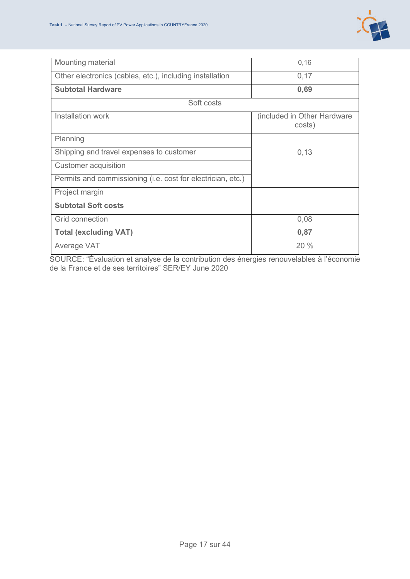

| Mounting material                                           | 0,16                                  |
|-------------------------------------------------------------|---------------------------------------|
| Other electronics (cables, etc.), including installation    | 0,17                                  |
| <b>Subtotal Hardware</b>                                    | 0,69                                  |
| Soft costs                                                  |                                       |
| Installation work                                           | (included in Other Hardware<br>costs) |
| Planning                                                    |                                       |
| Shipping and travel expenses to customer                    | 0,13                                  |
| <b>Customer acquisition</b>                                 |                                       |
| Permits and commissioning (i.e. cost for electrician, etc.) |                                       |
| Project margin                                              |                                       |
| <b>Subtotal Soft costs</b>                                  |                                       |
| Grid connection                                             | 0,08                                  |
| <b>Total (excluding VAT)</b>                                | 0,87                                  |
| Average VAT                                                 | 20 %                                  |

SOURCE: "Évaluation et analyse de la contribution des énergies renouvelables à l'économie de la France et de ses territoires" SER/EY June 2020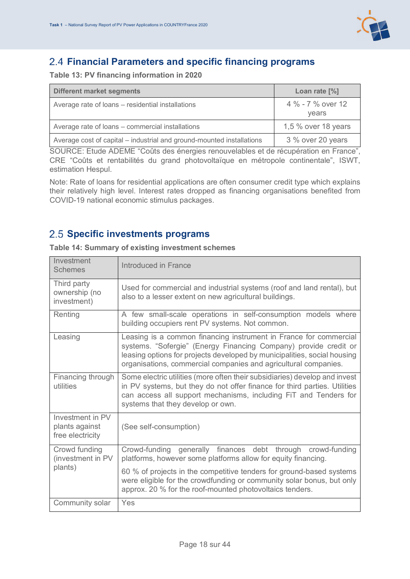

# <span id="page-18-0"></span>**Financial Parameters and specific financing programs**

### **Table 13: PV financing information in 2020**

| <b>Different market segments</b>                                      | Loan rate $\lceil\% \rceil$ |
|-----------------------------------------------------------------------|-----------------------------|
| Average rate of loans – residential installations                     | 4 % - 7 % over 12<br>years  |
| Average rate of loans – commercial installations                      | 1,5 % over 18 years         |
| Average cost of capital - industrial and ground-mounted installations | 3 % over 20 years           |

SOURCE: Etude ADEME "Coûts des énergies renouvelables et de récupération en France", CRE "Coûts et rentabilités du grand photovoltaïque en métropole continentale", ISWT, estimation Hespul.

Note: Rate of loans for residential applications are often consumer credit type which explains their relatively high level. Interest rates dropped as financing organisations benefited from COVID-19 national economic stimulus packages.

# <span id="page-18-1"></span>**Specific investments programs**

| Investment<br><b>Schemes</b>                           | Introduced in France                                                                                                                                                                                                                                                                 |
|--------------------------------------------------------|--------------------------------------------------------------------------------------------------------------------------------------------------------------------------------------------------------------------------------------------------------------------------------------|
| Third party<br>ownership (no<br>investment)            | Used for commercial and industrial systems (roof and land rental), but<br>also to a lesser extent on new agricultural buildings.                                                                                                                                                     |
| Renting                                                | A few small-scale operations in self-consumption models where<br>building occupiers rent PV systems. Not common.                                                                                                                                                                     |
| Leasing                                                | Leasing is a common financing instrument in France for commercial<br>systems. "Sofergie" (Energy Financing Company) provide credit or<br>leasing options for projects developed by municipalities, social housing<br>organisations, commercial companies and agricultural companies. |
| Financing through<br>utilities                         | Some electric utilities (more often their subsidiaries) develop and invest<br>in PV systems, but they do not offer finance for third parties. Utilities<br>can access all support mechanisms, including FiT and Tenders for<br>systems that they develop or own.                     |
| Investment in PV<br>plants against<br>free electricity | (See self-consumption)                                                                                                                                                                                                                                                               |
| Crowd funding<br>(investment in PV                     | Crowd-funding generally finances debt through crowd-funding<br>platforms, however some platforms allow for equity financing.                                                                                                                                                         |
| plants)                                                | 60 % of projects in the competitive tenders for ground-based systems<br>were eligible for the crowdfunding or community solar bonus, but only<br>approx. 20 % for the roof-mounted photovoltaics tenders.                                                                            |
| Community solar                                        | Yes                                                                                                                                                                                                                                                                                  |

**Table 14: Summary of existing investment schemes**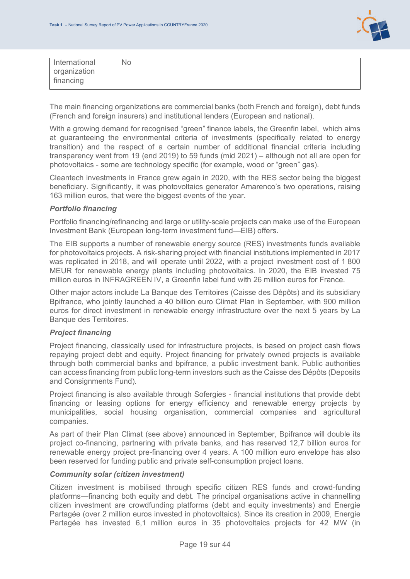

| International<br>organization | No |
|-------------------------------|----|
| financing                     |    |

The main financing organizations are commercial banks (both French and foreign), debt funds (French and foreign insurers) and institutional lenders (European and national).

With a growing demand for recognised "green" finance labels, the Greenfin label, which aims at guaranteeing the environmental criteria of investments (specifically related to energy transition) and the respect of a certain number of additional financial criteria including transparency went from 19 (end 2019) to 59 funds (mid 2021) – although not all are open for photovoltaics - some are technology specific (for example, wood or "green" gas).

Cleantech investments in France grew again in 2020, with the RES sector being the biggest beneficiary. Significantly, it was photovoltaics generator Amarenco's two operations, raising 163 million euros, that were the biggest events of the year.

#### *Portfolio financing*

Portfolio financing/refinancing and large or utility-scale projects can make use of the European Investment Bank (European long-term investment fund—EIB) offers.

The EIB supports a number of renewable energy source (RES) investments funds available for photovoltaics projects. A risk-sharing project with financial institutions implemented in 2017 was replicated in 2018, and will operate until 2022, with a project investment cost of 1 800 MEUR for renewable energy plants including photovoltaics. In 2020, the EIB invested 75 million euros in INFRAGREEN IV, a Greenfin label fund with 26 million euros for France.

Other major actors include La Banque des Territoires (Caisse des Dépôts) and its subsidiary Bpifrance, who jointly launched a 40 billion euro Climat Plan in September, with 900 million euros for direct investment in renewable energy infrastructure over the next 5 years by La Banque des Territoires.

#### *Project financing*

Project financing, classically used for infrastructure projects, is based on project cash flows repaying project debt and equity. Project financing for privately owned projects is available through both commercial banks and bpifrance, a public investment bank. Public authorities can access financing from public long-term investors such as the Caisse des Dépôts (Deposits and Consignments Fund).

Project financing is also available through Sofergies - financial institutions that provide debt financing or leasing options for energy efficiency and renewable energy projects by municipalities, social housing organisation, commercial companies and agricultural companies.

As part of their Plan Climat (see above) announced in September, Bpifrance will double its project co-financing, partnering with private banks, and has reserved 12,7 billion euros for renewable energy project pre-financing over 4 years. A 100 million euro envelope has also been reserved for funding public and private self-consumption project loans.

#### *Community solar (citizen investment)*

Citizen investment is mobilised through specific citizen RES funds and crowd-funding platforms—financing both equity and debt. The principal organisations active in channelling citizen investment are crowdfunding platforms (debt and equity investments) and Energie Partagée (over 2 million euros invested in photovoltaics). Since its creation in 2009, Energie Partagée has invested 6,1 million euros in 35 photovoltaics projects for 42 MW (in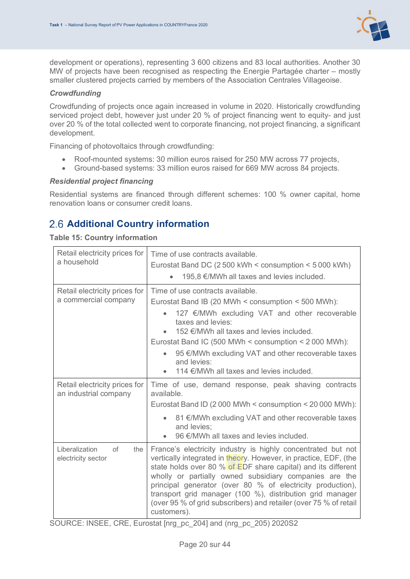

development or operations), representing 3 600 citizens and 83 local authorities. Another 30 MW of projects have been recognised as respecting the Energie Partagée charter – mostly smaller clustered projects carried by members of the Association Centrales Villageoise.

#### *Crowdfunding*

Crowdfunding of projects once again increased in volume in 2020. Historically crowdfunding serviced project debt, however just under 20 % of project financing went to equity- and just over 20 % of the total collected went to corporate financing, not project financing, a significant development.

Financing of photovoltaics through crowdfunding:

- Roof-mounted systems: 30 million euros raised for 250 MW across 77 projects,
- Ground-based systems: 33 million euros raised for 669 MW across 84 projects.

#### *Residential project financing*

Residential systems are financed through different schemes: 100 % owner capital, home renovation loans or consumer credit loans.

# <span id="page-20-0"></span>**Additional Country information**

#### **Table 15: Country information**

| Retail electricity prices for<br>a household           | Time of use contracts available.<br>Eurostat Band DC (2500 kWh < consumption < 5 000 kWh)<br>195,8 €/MWh all taxes and levies included.                                                                                                                                                                                                                                                                                                                                    |
|--------------------------------------------------------|----------------------------------------------------------------------------------------------------------------------------------------------------------------------------------------------------------------------------------------------------------------------------------------------------------------------------------------------------------------------------------------------------------------------------------------------------------------------------|
| Retail electricity prices for<br>a commercial company  | Time of use contracts available<br>Eurostat Band IB (20 MWh < consumption < 500 MWh):<br>127 €/MWh excluding VAT and other recoverable<br>taxes and levies:<br>152 €/MWh all taxes and levies included.<br>Eurostat Band IC (500 MWh < consumption < 2 000 MWh):<br>95 €/MWh excluding VAT and other recoverable taxes<br>and levies:<br>114 €/MWh all taxes and levies included.                                                                                          |
| Retail electricity prices for<br>an industrial company | Time of use, demand response, peak shaving contracts<br>available.<br>Eurostat Band ID (2 000 MWh < consumption < 20 000 MWh):<br>81 €/MWh excluding VAT and other recoverable taxes<br>$\bullet$<br>and levies;<br>96 €/MWh all taxes and levies included.                                                                                                                                                                                                                |
| Liberalization<br>of<br>the<br>electricity sector      | France's electricity industry is highly concentrated but not<br>vertically integrated in theory. However, in practice, EDF, (the<br>state holds over 80 % of EDF share capital) and its different<br>wholly or partially owned subsidiary companies are the<br>principal generator (over 80 % of electricity production),<br>transport grid manager (100 %), distribution grid manager<br>(over 95 % of grid subscribers) and retailer (over 75 % of retail<br>customers). |

SOURCE: INSEE, CRE, Eurostat [nrg\_pc\_204] and (nrg\_pc\_205) 2020S2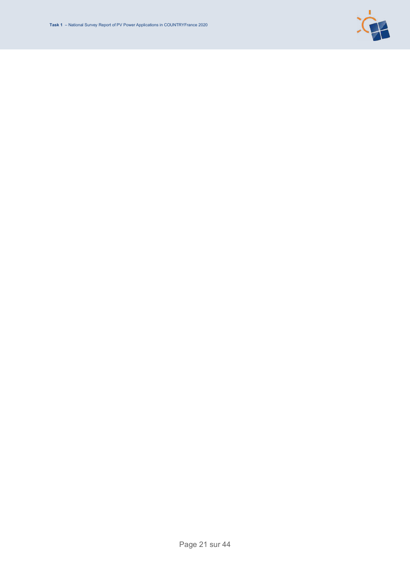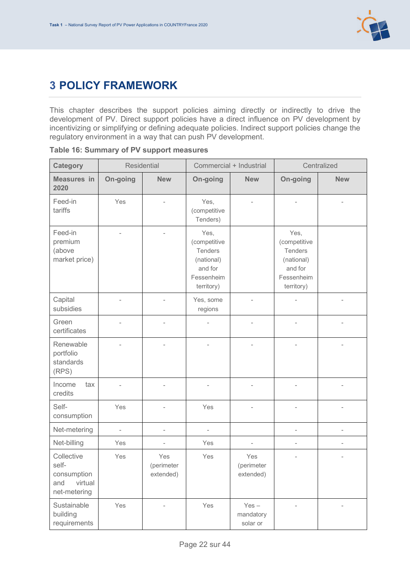

# <span id="page-22-0"></span>**3 POLICY FRAMEWORK**

This chapter describes the support policies aiming directly or indirectly to drive the development of PV. Direct support policies have a direct influence on PV development by incentivizing or simplifying or defining adequate policies. Indirect support policies change the regulatory environment in a way that can push PV development.

| <b>Category</b>                                                      |                          | <b>Residential</b>             | Commercial + Industrial                                                                     |                                  | Centralized                                                                          |            |
|----------------------------------------------------------------------|--------------------------|--------------------------------|---------------------------------------------------------------------------------------------|----------------------------------|--------------------------------------------------------------------------------------|------------|
| <b>Measures</b> in<br>2020                                           | On-going                 | <b>New</b>                     | On-going                                                                                    | <b>New</b>                       | On-going                                                                             | <b>New</b> |
| Feed-in<br>tariffs                                                   | Yes                      |                                | Yes,<br>(competitive<br>Tenders)                                                            |                                  |                                                                                      |            |
| Feed-in<br>premium<br>(above<br>market price)                        |                          |                                | Yes,<br>(competitive<br><b>Tenders</b><br>(national)<br>and for<br>Fessenheim<br>territory) |                                  | Yes,<br>(competitive<br>Tenders<br>(national)<br>and for<br>Fessenheim<br>territory) |            |
| Capital<br>subsidies                                                 |                          |                                | Yes, some<br>regions                                                                        |                                  |                                                                                      |            |
| Green<br>certificates                                                |                          |                                |                                                                                             |                                  |                                                                                      |            |
| Renewable<br>portfolio<br>standards<br>(RPS)                         |                          |                                |                                                                                             |                                  |                                                                                      |            |
| Income<br>tax<br>credits                                             |                          |                                |                                                                                             |                                  |                                                                                      |            |
| Self-<br>consumption                                                 | Yes                      |                                | Yes                                                                                         |                                  |                                                                                      |            |
| Net-metering                                                         | $\overline{\phantom{a}}$ | $\overline{a}$                 | $\overline{a}$                                                                              |                                  |                                                                                      |            |
| Net-billing                                                          | Yes                      |                                | Yes                                                                                         |                                  |                                                                                      |            |
| Collective<br>self-<br>consumption<br>virtual<br>and<br>net-metering | Yes                      | Yes<br>(perimeter<br>extended) | Yes                                                                                         | Yes<br>(perimeter<br>extended)   |                                                                                      |            |
| Sustainable<br>building<br>requirements                              | Yes                      |                                | Yes                                                                                         | $Yes -$<br>mandatory<br>solar or |                                                                                      |            |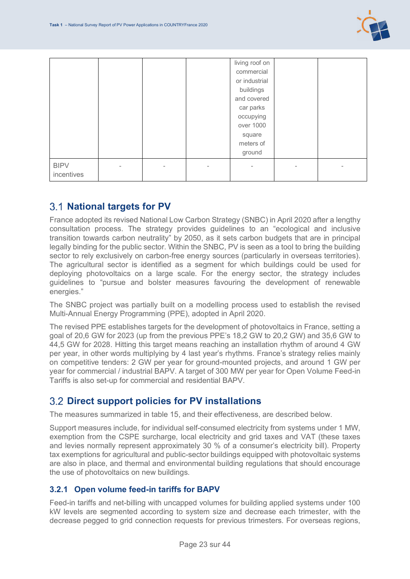

|             |  |                | living roof on           |   |  |
|-------------|--|----------------|--------------------------|---|--|
|             |  |                | commercial               |   |  |
|             |  |                | or industrial            |   |  |
|             |  |                | buildings                |   |  |
|             |  |                | and covered              |   |  |
|             |  |                | car parks                |   |  |
|             |  |                | occupying                |   |  |
|             |  |                | over 1000                |   |  |
|             |  |                | square                   |   |  |
|             |  |                | meters of                |   |  |
|             |  |                | ground                   |   |  |
| <b>BIPV</b> |  |                |                          |   |  |
| incentives  |  | $\overline{a}$ | $\overline{\phantom{0}}$ | - |  |

# <span id="page-23-0"></span>**National targets for PV**

France adopted its revised National Low Carbon Strategy (SNBC) in April 2020 after a lengthy consultation process. The strategy provides guidelines to an "ecological and inclusive transition towards carbon neutrality" by 2050, as it sets carbon budgets that are in principal legally binding for the public sector. Within the SNBC, PV is seen as a tool to bring the building sector to rely exclusively on carbon-free energy sources (particularly in overseas territories). The agricultural sector is identified as a segment for which buildings could be used for deploying photovoltaics on a large scale. For the energy sector, the strategy includes guidelines to "pursue and bolster measures favouring the development of renewable energies."

The SNBC project was partially built on a modelling process used to establish the revised Multi-Annual Energy Programming (PPE), adopted in April 2020.

The revised PPE establishes targets for the development of photovoltaics in France, setting a goal of 20,6 GW for 2023 (up from the previous PPE's 18,2 GW to 20,2 GW) and 35,6 GW to 44,5 GW for 2028. Hitting this target means reaching an installation rhythm of around 4 GW per year, in other words multiplying by 4 last year's rhythms. France's strategy relies mainly on competitive tenders: 2 GW per year for ground-mounted projects, and around 1 GW per year for commercial / industrial BAPV. A target of 300 MW per year for Open Volume Feed-in Tariffs is also set-up for commercial and residential BAPV.

# <span id="page-23-1"></span>**Direct support policies for PV installations**

The measures summarized in table 15, and their effectiveness, are described below.

Support measures include, for individual self-consumed electricity from systems under 1 MW, exemption from the CSPE surcharge, local electricity and grid taxes and VAT (these taxes and levies normally represent approximately 30 % of a consumer's electricity bill). Property tax exemptions for agricultural and public-sector buildings equipped with photovoltaic systems are also in place, and thermal and environmental building regulations that should encourage the use of photovoltaics on new buildings.

# **3.2.1 Open volume feed-in tariffs for BAPV**

Feed-in tariffs and net-billing with uncapped volumes for building applied systems under 100 kW levels are segmented according to system size and decrease each trimester, with the decrease pegged to grid connection requests for previous trimesters. For overseas regions,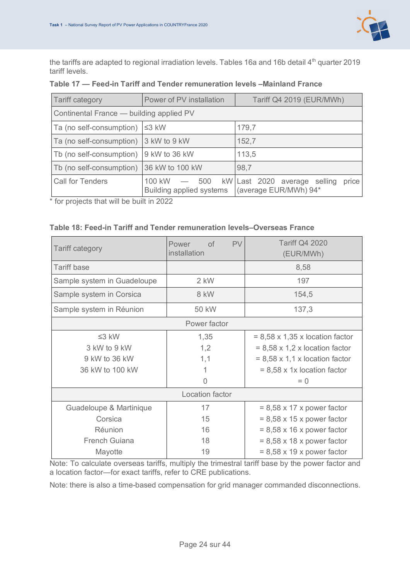

the tariffs are adapted to regional irradiation levels. Tables 16a and 16b detail 4<sup>th</sup> quarter 2019 tariff levels.

| <b>Tariff category</b>                   | Power of PV installation                        | Tariff Q4 2019 (EUR/MWh)                                           |  |
|------------------------------------------|-------------------------------------------------|--------------------------------------------------------------------|--|
| Continental France — building applied PV |                                                 |                                                                    |  |
| Ta (no self-consumption)                 | ≤3 $kW$                                         | 179,7                                                              |  |
| Ta (no self-consumption)                 | 3 kW to 9 kW                                    | 152,7                                                              |  |
| Tb (no self-consumption)                 | 9 kW to 36 kW                                   | 113,5                                                              |  |
| Tb (no self-consumption)                 | 36 kW to 100 kW                                 | 98,7                                                               |  |
| <b>Call for Tenders</b>                  | $100$ kW $-$<br><b>Building applied systems</b> | 500 kW Last 2020 average selling<br>price<br>(average EUR/MWh) 94* |  |

### **Table 17 — Feed-in Tariff and Tender remuneration levels –Mainland France**

\* for projects that will be built in 2022

### **Table 18: Feed-in Tariff and Tender remuneration levels–Overseas France**

| <b>Tariff category</b>      | <b>PV</b><br>$\circ$ f<br>Power<br>installation | <b>Tariff Q4 2020</b><br>(EUR/MWh)          |  |
|-----------------------------|-------------------------------------------------|---------------------------------------------|--|
| <b>Tariff base</b>          |                                                 | 8,58                                        |  |
| Sample system in Guadeloupe | 2 kW                                            | 197                                         |  |
| Sample system in Corsica    | 8 kW                                            | 154,5                                       |  |
| Sample system in Réunion    | 50 kW                                           | 137,3                                       |  |
|                             | Power factor                                    |                                             |  |
| ≤3 kW                       | 1,35                                            | $= 8,58 \times 1,35 \times$ location factor |  |
| 3 kW to 9 kW                | 1,2                                             | $= 8,58 \times 1,2 \times$ location factor  |  |
| 9 kW to 36 kW               | 1,1                                             | $= 8,58 \times 1,1 \times$ location factor  |  |
| 36 kW to 100 kW             | 1                                               | $= 8,58 \times 1 \times$ location factor    |  |
|                             | 0                                               | $= 0$                                       |  |
|                             | Location factor                                 |                                             |  |
| Guadeloupe & Martinique     | 17                                              | $= 8,58 \times 17 \times power$ factor      |  |
| Corsica                     | 15                                              | $= 8,58 \times 15 \times power factor$      |  |
| Réunion                     | 16                                              | $= 8,58 \times 16 \times$ power factor      |  |
| French Guiana               | 18                                              | $= 8,58 \times 18 \times$ power factor      |  |
| Mayotte                     | 19                                              | $= 8,58 \times 19 \times$ power factor      |  |

Note: To calculate overseas tariffs, multiply the trimestral tariff base by the power factor and a location factor—for exact tariffs, refer to CRE publications.

Note: there is also a time-based compensation for grid manager commanded disconnections.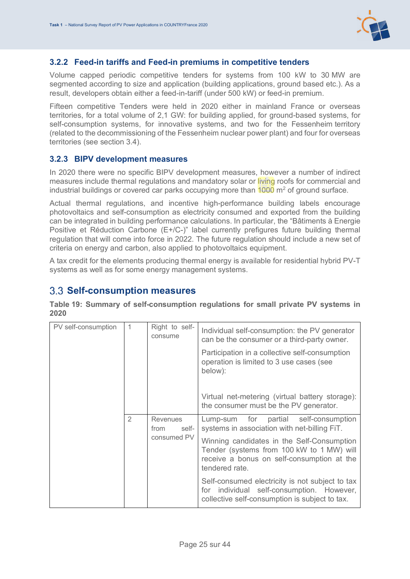

### **3.2.2 Feed-in tariffs and Feed-in premiums in competitive tenders**

Volume capped periodic competitive tenders for systems from 100 kW to 30 MW are segmented according to size and application (building applications, ground based etc.). As a result, developers obtain either a feed-in-tariff (under 500 kW) or feed-in premium.

Fifteen competitive Tenders were held in 2020 either in mainland France or overseas territories, for a total volume of 2,1 GW: for building applied, for ground-based systems, for self-consumption systems, for innovative systems, and two for the Fessenheim territory (related to the decommissioning of the Fessenheim nuclear power plant) and four for overseas territories (see section 3.4).

# **3.2.3 BIPV development measures**

In 2020 there were no specific BIPV development measures, however a number of indirect measures include thermal regulations and mandatory solar or living roofs for commercial and industrial buildings or covered car parks occupying more than 1000  $m<sup>2</sup>$  of ground surface.

Actual thermal regulations, and incentive high-performance building labels encourage photovoltaics and self-consumption as electricity consumed and exported from the building can be integrated in building performance calculations. In particular, the "Bâtiments à Energie Positive et Réduction Carbone (E+/C-)" label currently prefigures future building thermal regulation that will come into force in 2022. The future regulation should include a new set of criteria on energy and carbon, also applied to photovoltaics equipment.

A tax credit for the elements producing thermal energy is available for residential hybrid PV-T systems as well as for some energy management systems.

# <span id="page-25-0"></span>**Self-consumption measures**

**Table 19: Summary of self-consumption regulations for small private PV systems in 2020**

| PV self-consumption |                                                                   | Right to self-<br>consume                                                                                                                               | Individual self-consumption: the PV generator<br>can be the consumer or a third-party owner.                                                   |
|---------------------|-------------------------------------------------------------------|---------------------------------------------------------------------------------------------------------------------------------------------------------|------------------------------------------------------------------------------------------------------------------------------------------------|
|                     |                                                                   | Participation in a collective self-consumption<br>operation is limited to 3 use cases (see<br>below):                                                   |                                                                                                                                                |
|                     |                                                                   | Virtual net-metering (virtual battery storage):<br>the consumer must be the PV generator.                                                               |                                                                                                                                                |
|                     | $\mathfrak{D}$<br><b>Revenues</b><br>from<br>self-<br>consumed PV | Lump-sum for partial self-consumption<br>systems in association with net-billing FiT.                                                                   |                                                                                                                                                |
|                     |                                                                   | Winning candidates in the Self-Consumption<br>Tender (systems from 100 kW to 1 MW) will<br>receive a bonus on self-consumption at the<br>tendered rate. |                                                                                                                                                |
|                     |                                                                   |                                                                                                                                                         | Self-consumed electricity is not subject to tax<br>for individual self-consumption. However,<br>collective self-consumption is subject to tax. |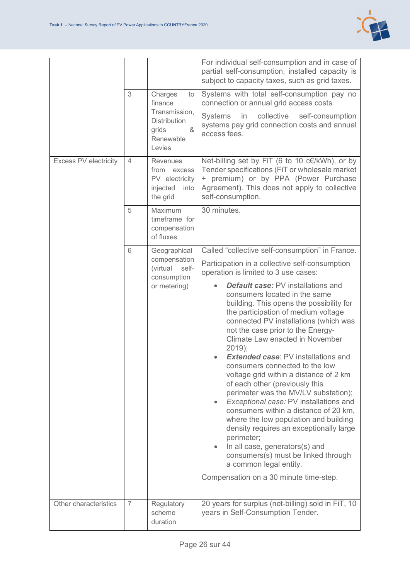

|                              |   |                                                                                                       | For individual self-consumption and in case of<br>partial self-consumption, installed capacity is<br>subject to capacity taxes, such as grid taxes.                                                                                                                                                                                                                                                                                                                                                                                                                                                                                                                                                                                                                                                                                                                                                                                                                           |
|------------------------------|---|-------------------------------------------------------------------------------------------------------|-------------------------------------------------------------------------------------------------------------------------------------------------------------------------------------------------------------------------------------------------------------------------------------------------------------------------------------------------------------------------------------------------------------------------------------------------------------------------------------------------------------------------------------------------------------------------------------------------------------------------------------------------------------------------------------------------------------------------------------------------------------------------------------------------------------------------------------------------------------------------------------------------------------------------------------------------------------------------------|
|                              | 3 | Charges<br>to<br>finance<br>Transmission,<br><b>Distribution</b><br>grids<br>&<br>Renewable<br>Levies | Systems with total self-consumption pay no<br>connection or annual grid access costs.<br>collective<br>self-consumption<br><b>Systems</b><br>in<br>systems pay grid connection costs and annual<br>access fees.                                                                                                                                                                                                                                                                                                                                                                                                                                                                                                                                                                                                                                                                                                                                                               |
| <b>Excess PV electricity</b> | 4 | Revenues<br>from<br>excess<br>PV electricity<br>injected<br>into<br>the grid                          | Net-billing set by FiT (6 to 10 c€/kWh), or by<br>Tender specifications (FiT or wholesale market<br>+ premium) or by PPA (Power Purchase<br>Agreement). This does not apply to collective<br>self-consumption.                                                                                                                                                                                                                                                                                                                                                                                                                                                                                                                                                                                                                                                                                                                                                                |
|                              | 5 | Maximum<br>timeframe for<br>compensation<br>of fluxes                                                 | 30 minutes.                                                                                                                                                                                                                                                                                                                                                                                                                                                                                                                                                                                                                                                                                                                                                                                                                                                                                                                                                                   |
|                              | 6 | Geographical<br>compensation<br>(virtual<br>self-<br>consumption<br>or metering)                      | Called "collective self-consumption" in France.<br>Participation in a collective self-consumption<br>operation is limited to 3 use cases:<br><b>Default case: PV installations and</b><br>consumers located in the same<br>building. This opens the possibility for<br>the participation of medium voltage<br>connected PV installations (which was<br>not the case prior to the Energy-<br>Climate Law enacted in November<br>$2019$ ;<br><b>Extended case: PV installations and</b><br>consumers connected to the low<br>voltage grid within a distance of 2 km<br>of each other (previously this<br>perimeter was the MV/LV substation);<br>Exceptional case: PV installations and<br>consumers within a distance of 20 km,<br>where the low population and building<br>density requires an exceptionally large<br>perimeter;<br>In all case, generators(s) and<br>consumers(s) must be linked through<br>a common legal entity.<br>Compensation on a 30 minute time-step. |
| Other characteristics        | 7 | Regulatory<br>scheme<br>duration                                                                      | 20 years for surplus (net-billing) sold in FiT, 10<br>years in Self-Consumption Tender.                                                                                                                                                                                                                                                                                                                                                                                                                                                                                                                                                                                                                                                                                                                                                                                                                                                                                       |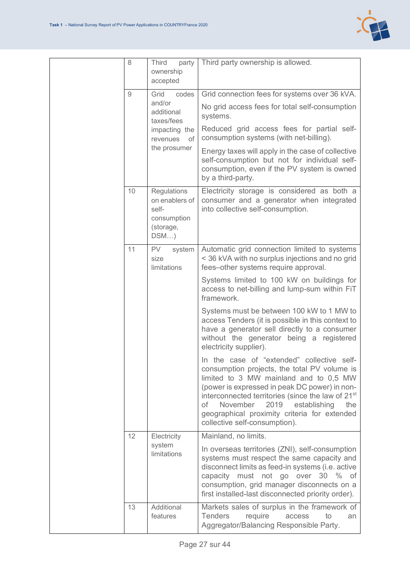

| 8  | Third<br>party<br>ownership<br>accepted                                       | Third party ownership is allowed.                                                                                                                                                                                                                                                                                                                                                        |
|----|-------------------------------------------------------------------------------|------------------------------------------------------------------------------------------------------------------------------------------------------------------------------------------------------------------------------------------------------------------------------------------------------------------------------------------------------------------------------------------|
| 9  | Grid<br>codes                                                                 | Grid connection fees for systems over 36 kVA.                                                                                                                                                                                                                                                                                                                                            |
|    | and/or<br>additional<br>taxes/fees                                            | No grid access fees for total self-consumption<br>systems.                                                                                                                                                                                                                                                                                                                               |
|    | impacting the<br>of<br>revenues                                               | Reduced grid access fees for partial self-<br>consumption systems (with net-billing).                                                                                                                                                                                                                                                                                                    |
|    | the prosumer                                                                  | Energy taxes will apply in the case of collective<br>self-consumption but not for individual self-<br>consumption, even if the PV system is owned<br>by a third-party.                                                                                                                                                                                                                   |
| 10 | Regulations<br>on enablers of<br>self-<br>consumption<br>(storage,<br>$DSM$ ) | Electricity storage is considered as both a<br>consumer and a generator when integrated<br>into collective self-consumption.                                                                                                                                                                                                                                                             |
| 11 | PV.<br>system<br>size<br>limitations                                          | Automatic grid connection limited to systems<br>< 36 kVA with no surplus injections and no grid<br>fees-other systems require approval.                                                                                                                                                                                                                                                  |
|    |                                                                               | Systems limited to 100 kW on buildings for<br>access to net-billing and lump-sum within FiT<br>framework.                                                                                                                                                                                                                                                                                |
|    |                                                                               | Systems must be between 100 kW to 1 MW to<br>access Tenders (it is possible in this context to<br>have a generator sell directly to a consumer<br>without the generator being a registered<br>electricity supplier).                                                                                                                                                                     |
|    |                                                                               | In the case of "extended" collective self-<br>consumption projects, the total PV volume is<br>limited to 3 MW mainland and to 0,5 MW<br>(power is expressed in peak DC power) in non-<br>interconnected territories (since the law of 21 <sup>st</sup><br>November<br>2019<br>establishing<br>of<br>the<br>geographical proximity criteria for extended<br>collective self-consumption). |
| 12 | Electricity                                                                   | Mainland, no limits.                                                                                                                                                                                                                                                                                                                                                                     |
|    | system<br>limitations                                                         | In overseas territories (ZNI), self-consumption<br>systems must respect the same capacity and<br>disconnect limits as feed-in systems (i.e. active<br>capacity must not go over 30 %<br>of<br>consumption, grid manager disconnects on a<br>first installed-last disconnected priority order).                                                                                           |
| 13 | Additional<br>features                                                        | Markets sales of surplus in the framework of<br><b>Tenders</b><br>require<br>to<br>access<br>an<br>Aggregator/Balancing Responsible Party.                                                                                                                                                                                                                                               |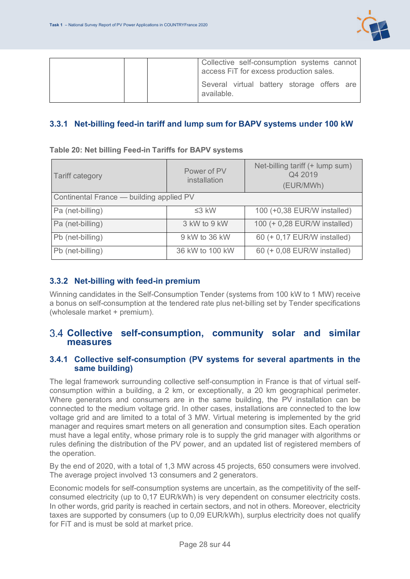

|  | Collective self-consumption systems cannot<br>access FiT for excess production sales. |  |  |
|--|---------------------------------------------------------------------------------------|--|--|
|  | Several virtual battery storage offers are<br>available.                              |  |  |

# **3.3.1 Net-billing feed-in tariff and lump sum for BAPV systems under 100 kW**

#### **Table 20: Net billing Feed-in Tariffs for BAPV systems**

| <b>Tariff category</b>                   | Power of PV<br>installation | Net-billing tariff (+ lump sum)<br>Q4 2019<br>(EUR/MWh) |
|------------------------------------------|-----------------------------|---------------------------------------------------------|
| Continental France — building applied PV |                             |                                                         |
| Pa (net-billing)                         | ≤3 kW                       | 100 (+0,38 EUR/W installed)                             |
| Pa (net-billing)                         | 3 kW to 9 kW                | 100 (+ 0,28 EUR/W installed)                            |
| Pb (net-billing)                         | 9 kW to 36 kW               | 60 (+ 0,17 EUR/W installed)                             |
| Pb (net-billing)                         | 36 kW to 100 kW             | 60 (+ 0,08 EUR/W installed)                             |

### **3.3.2 Net-billing with feed-in premium**

Winning candidates in the Self-Consumption Tender (systems from 100 kW to 1 MW) receive a bonus on self-consumption at the tendered rate plus net-billing set by Tender specifications (wholesale market + premium).

# <span id="page-28-0"></span>**Collective self-consumption, community solar and similar measures**

### **3.4.1 Collective self-consumption (PV systems for several apartments in the same building)**

The legal framework surrounding collective self-consumption in France is that of virtual selfconsumption within a building, a 2 km, or exceptionally, a 20 km geographical perimeter. Where generators and consumers are in the same building, the PV installation can be connected to the medium voltage grid. In other cases, installations are connected to the low voltage grid and are limited to a total of 3 MW. Virtual metering is implemented by the grid manager and requires smart meters on all generation and consumption sites. Each operation must have a legal entity, whose primary role is to supply the grid manager with algorithms or rules defining the distribution of the PV power, and an updated list of registered members of the operation.

By the end of 2020, with a total of 1,3 MW across 45 projects, 650 consumers were involved. The average project involved 13 consumers and 2 generators.

Economic models for self-consumption systems are uncertain, as the competitivity of the selfconsumed electricity (up to 0,17 EUR/kWh) is very dependent on consumer electricity costs. In other words, grid parity is reached in certain sectors, and not in others. Moreover, electricity taxes are supported by consumers (up to 0,09 EUR/kWh), surplus electricity does not qualify for FiT and is must be sold at market price.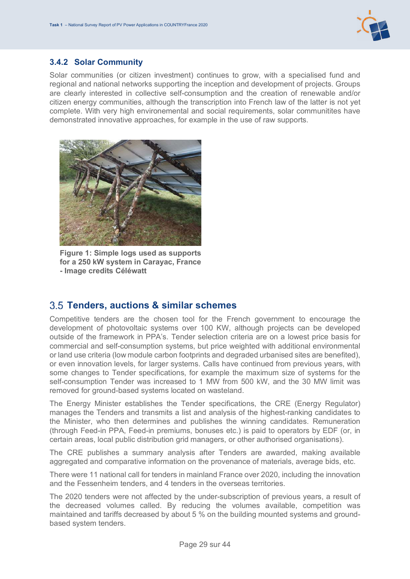

### **3.4.2 Solar Community**

Solar communities (or citizen investment) continues to grow, with a specialised fund and regional and national networks supporting the inception and development of projects. Groups are clearly interested in collective self-consumption and the creation of renewable and/or citizen energy communities, although the transcription into French law of the latter is not yet complete. With very high environemental and social requirements, solar communitites have demonstrated innovative approaches, for example in the use of raw supports.



**Figure 1: Simple logs used as supports for a 250 kW system in Carayac, France - Image credits Céléwatt**

# <span id="page-29-0"></span>**Tenders, auctions & similar schemes**

Competitive tenders are the chosen tool for the French government to encourage the development of photovoltaic systems over 100 KW, although projects can be developed outside of the framework in PPA's. Tender selection criteria are on a lowest price basis for commercial and self-consumption systems, but price weighted with additional environmental or land use criteria (low module carbon footprints and degraded urbanised sites are benefited), or even innovation levels, for larger systems. Calls have continued from previous years, with some changes to Tender specifications, for example the maximum size of systems for the self-consumption Tender was increased to 1 MW from 500 kW, and the 30 MW limit was removed for ground-based systems located on wasteland.

The Energy Minister establishes the Tender specifications, the CRE (Energy Regulator) manages the Tenders and transmits a list and analysis of the highest-ranking candidates to the Minister, who then determines and publishes the winning candidates. Remuneration (through Feed-in PPA, Feed-in premiums, bonuses etc.) is paid to operators by EDF (or, in certain areas, local public distribution grid managers, or other authorised organisations).

The CRE publishes a summary analysis after Tenders are awarded, making available aggregated and comparative information on the provenance of materials, average bids, etc.

There were 11 national call for tenders in mainland France over 2020, including the innovation and the Fessenheim tenders, and 4 tenders in the overseas territories.

The 2020 tenders were not affected by the under-subscription of previous years, a result of the decreased volumes called. By reducing the volumes available, competition was maintained and tariffs decreased by about 5 % on the building mounted systems and groundbased system tenders.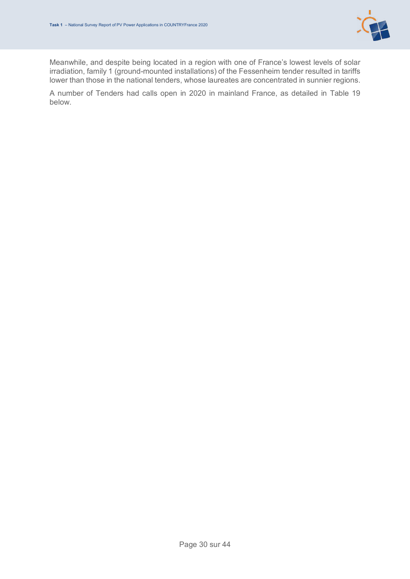

Meanwhile, and despite being located in a region with one of France's lowest levels of solar irradiation, family 1 (ground-mounted installations) of the Fessenheim tender resulted in tariffs lower than those in the national tenders, whose laureates are concentrated in sunnier regions.

A number of Tenders had calls open in 2020 in mainland France, as detailed in Table 19 below.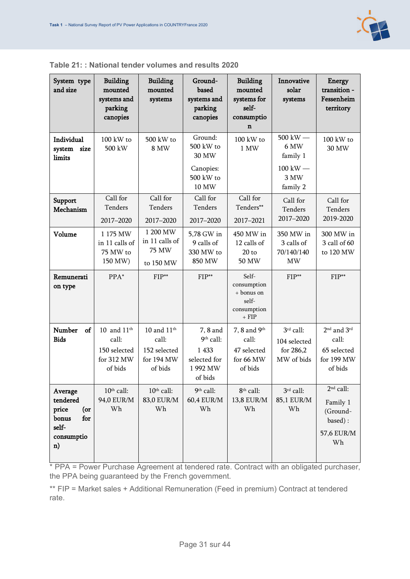

| System type<br>and size                                                             | <b>Building</b><br>mounted<br>systems and<br>parking<br>canopies          | <b>Building</b><br>mounted<br>systems                                     | Ground-<br>based<br>systems and<br>parking<br>canopies                                | <b>Building</b><br>mounted<br>systems for<br>self-<br>consumptio<br>$\mathbf n$ | Innovative<br>solar<br>systems                                                   | <b>Energy</b><br>transition -<br>Fessenheim<br>territory                     |
|-------------------------------------------------------------------------------------|---------------------------------------------------------------------------|---------------------------------------------------------------------------|---------------------------------------------------------------------------------------|---------------------------------------------------------------------------------|----------------------------------------------------------------------------------|------------------------------------------------------------------------------|
| Individual<br>system<br>size<br>limits                                              | $100$ kW to<br>500 kW                                                     | 500 kW to<br><b>8 MW</b>                                                  | Ground:<br>500 kW to<br><b>30 MW</b><br>Canopies:<br>500 kW to<br><b>10 MW</b>        | $100$ kW to<br>$1$ MW                                                           | $500 \text{ kW} -$<br>6 MW<br>family 1<br>$100 \text{ kW} -$<br>3 MW<br>family 2 | $100$ kW to<br><b>30 MW</b>                                                  |
| Support<br>Mechanism                                                                | Call for<br>Tenders<br>2017-2020                                          | Call for<br>Tenders<br>2017-2020                                          | Call for<br>Tenders<br>2017-2020                                                      | Call for<br>Tenders**<br>2017-2021                                              | Call for<br>Tenders<br>2017-2020                                                 | Call for<br>Tenders<br>2019-2020                                             |
| Volume                                                                              | 1 175 MW<br>in 11 calls of<br>75 MW to<br>150 MW)                         | 1 200 MW<br>in 11 calls of<br><b>75 MW</b><br>to 150 MW                   | 5,78 GW in<br>9 calls of<br>330 MW to<br>850 MW                                       | 450 MW in<br>12 calls of<br>$20$ to<br>50 MW                                    | 350 MW in<br>3 calls of<br>70/140/140<br>MW                                      | 300 MW in<br>3 call of 60<br>to 120 MW                                       |
| Remunerati<br>on type                                                               | $PPA*$                                                                    | $FIP^{**}$                                                                | $FIP^{**}$                                                                            | Self-<br>consumption<br>+ bonus on<br>self-<br>consumption<br>$+$ FIP           | $FIP^{**}$                                                                       | $FIP^{**}$                                                                   |
| of<br>Number<br><b>Bids</b>                                                         | 10 and 11 <sup>th</sup><br>call:<br>150 selected<br>for 312 MW<br>of bids | 10 and 11 <sup>th</sup><br>call:<br>152 selected<br>for 194 MW<br>of bids | $7, 8$ and<br>9 <sup>th</sup> call:<br>1 4 3 3<br>selected for<br>1 992 MW<br>of bids | 7, 8 and 9th<br>call:<br>47 selected<br>for 66 MW<br>of bids                    | 3rd call:<br>104 selected<br>for 286,2<br>MW of bids                             | 2 <sup>nd</sup> and 3rd<br>call:<br>65 selected<br>for 199 MW<br>of bids     |
| Average<br>tendered<br>price<br>$($ or<br>bonus<br>for<br>self-<br>consumptio<br>n) | $10th$ call:<br>94,0 EUR/M<br>Wh                                          | $10th$ call:<br>83,0 EUR/M<br>Wh                                          | 9 <sup>th</sup> call:<br>60,4 EUR/M<br>Wh                                             | 8 <sup>th</sup> call:<br>13,8 EUR/M<br>Wh                                       | 3rd call:<br>85,1 EUR/M<br>Wh                                                    | 2 <sup>nd</sup> call:<br>Family 1<br>(Ground-<br>based):<br>57,6 EUR/M<br>Wh |

### **Table 21: : National tender volumes and results 2020**

\* PPA = Power Purchase Agreement at tendered rate. Contract with an obligated purchaser, the PPA being guaranteed by the French government.

\*\* FIP = Market sales + Additional Remuneration (Feed in premium) Contract at tendered rate.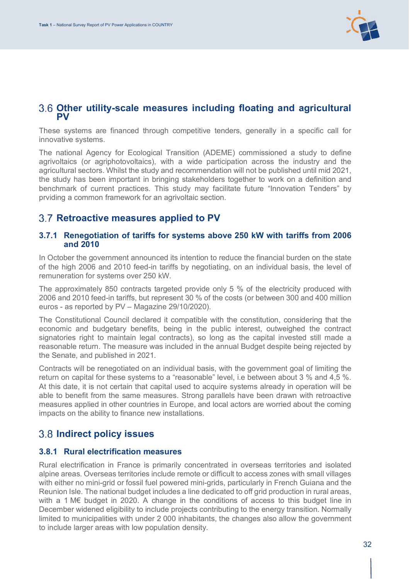

# <span id="page-32-0"></span>**Other utility-scale measures including floating and agricultural PV**

These systems are financed through competitive tenders, generally in a specific call for innovative systems.

The national Agency for Ecological Transition (ADEME) commissioned a study to define agrivoltaics (or agriphotovoltaics), with a wide participation across the industry and the agricultural sectors. Whilst the study and recommendation will not be published until mid 2021, the study has been important in bringing stakeholders together to work on a definition and benchmark of current practices. This study may facilitate future "Innovation Tenders" by prviding a common framework for an agrivoltaic section.

# <span id="page-32-1"></span>**Retroactive measures applied to PV**

#### **3.7.1 Renegotiation of tariffs for systems above 250 kW with tariffs from 2006 and 2010**

In October the government announced its intention to reduce the financial burden on the state of the high 2006 and 2010 feed-in tariffs by negotiating, on an individual basis, the level of remuneration for systems over 250 kW.

The approximately 850 contracts targeted provide only 5 % of the electricity produced with 2006 and 2010 feed-in tariffs, but represent 30 % of the costs (or between 300 and 400 million euros - as reported by PV – Magazine 29/10/2020).

The Constitutional Council declared it compatible with the constitution, considering that the economic and budgetary benefits, being in the public interest, outweighed the contract signatories right to maintain legal contracts), so long as the capital invested still made a reasonable return. The measure was included in the annual Budget despite being rejected by the Senate, and published in 2021.

Contracts will be renegotiated on an individual basis, with the government goal of limiting the return on capital for these systems to a "reasonable" level, i.e between about 3 % and 4,5 %. At this date, it is not certain that capital used to acquire systems already in operation will be able to benefit from the same measures. Strong parallels have been drawn with retroactive measures applied in other countries in Europe, and local actors are worried about the coming impacts on the ability to finance new installations.

# <span id="page-32-2"></span>**Indirect policy issues**

#### **3.8.1 Rural electrification measures**

Rural electrification in France is primarily concentrated in overseas territories and isolated alpine areas. Overseas territories include remote or difficult to access zones with small villages with either no mini-grid or fossil fuel powered mini-grids, particularly in French Guiana and the Reunion Isle. The national budget includes a line dedicated to off grid production in rural areas, with a 1 M€ budget in 2020. A change in the conditions of access to this budget line in December widened eligibility to include projects contributing to the energy transition. Normally limited to municipalities with under 2 000 inhabitants, the changes also allow the government to include larger areas with low population density.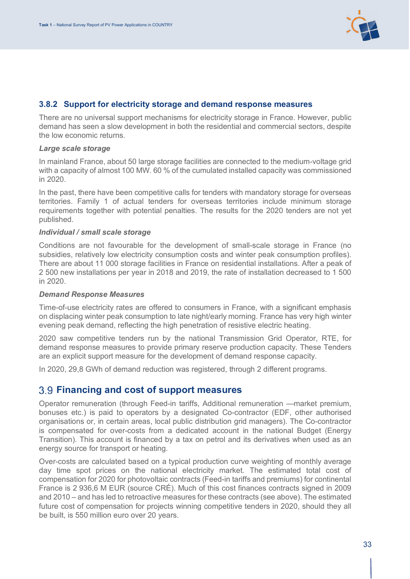

#### **3.8.2 Support for electricity storage and demand response measures**

There are no universal support mechanisms for electricity storage in France. However, public demand has seen a slow development in both the residential and commercial sectors, despite the low economic returns.

#### *Large scale storage*

In mainland France, about 50 large storage facilities are connected to the medium-voltage grid with a capacity of almost 100 MW. 60 % of the cumulated installed capacity was commissioned in 2020.

In the past, there have been competitive calls for tenders with mandatory storage for overseas territories. Family 1 of actual tenders for overseas territories include minimum storage requirements together with potential penalties. The results for the 2020 tenders are not yet published.

#### *Individual / small scale storage*

Conditions are not favourable for the development of small-scale storage in France (no subsidies, relatively low electricity consumption costs and winter peak consumption profiles). There are about 11 000 storage facilities in France on residential installations. After a peak of 2 500 new installations per year in 2018 and 2019, the rate of installation decreased to 1 500 in 2020.

#### *Demand Response Measures*

Time-of-use electricity rates are offered to consumers in France, with a significant emphasis on displacing winter peak consumption to late night/early morning. France has very high winter evening peak demand, reflecting the high penetration of resistive electric heating.

2020 saw competitive tenders run by the national Transmission Grid Operator, RTE, for demand response measures to provide primary reserve production capacity. These Tenders are an explicit support measure for the development of demand response capacity.

In 2020, 29,8 GWh of demand reduction was registered, through 2 different programs.

### <span id="page-33-0"></span>**Financing and cost of support measures**

Operator remuneration (through Feed-in tariffs, Additional remuneration —market premium, bonuses etc.) is paid to operators by a designated Co-contractor (EDF, other authorised organisations or, in certain areas, local public distribution grid managers). The Co-contractor is compensated for over-costs from a dedicated account in the national Budget (Energy Transition). This account is financed by a tax on petrol and its derivatives when used as an energy source for transport or heating.

Over-costs are calculated based on a typical production curve weighting of monthly average day time spot prices on the national electricity market. The estimated total cost of compensation for 2020 for photovoltaic contracts (Feed-in tariffs and premiums) for continental France is 2 936,6 M EUR (source CRÉ). Much of this cost finances contracts signed in 2009 and 2010 – and has led to retroactive measures for these contracts (see above). The estimated future cost of compensation for projects winning competitive tenders in 2020, should they all be built, is 550 million euro over 20 years.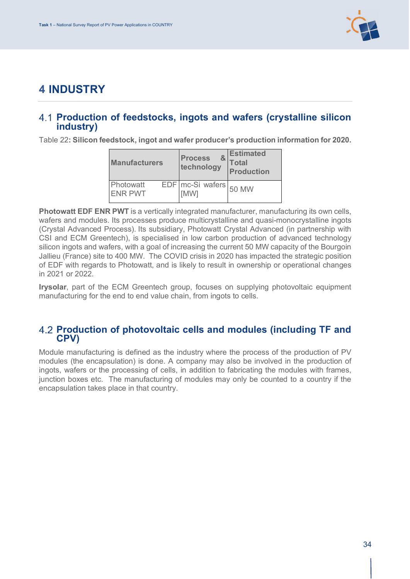

# <span id="page-34-0"></span>**4 INDUSTRY**

# <span id="page-34-1"></span>**Production of feedstocks, ingots and wafers (crystalline silicon industry)**

Table 22**: Silicon feedstock, ingot and wafer producer's production information for 2020.** 

| <b>Manufacturers</b>        | <b>Process</b><br>8 <sub>k</sub><br>technology | Estimated<br><b>Total</b><br><b>Production</b> |
|-----------------------------|------------------------------------------------|------------------------------------------------|
| Photowatt<br><b>ENR PWT</b> | EDF mc-Si wafers<br><b>IMW1</b>                | <b>50 MW</b>                                   |

**Photowatt EDF ENR PWT** is a vertically integrated manufacturer, manufacturing its own cells, wafers and modules. Its processes produce multicrystalline and quasi-monocrystalline ingots (Crystal Advanced Process). Its subsidiary, Photowatt Crystal Advanced (in partnership with CSI and ECM Greentech), is specialised in low carbon production of advanced technology silicon ingots and wafers, with a goal of increasing the current 50 MW capacity of the Bourgoin Jallieu (France) site to 400 MW. The COVID crisis in 2020 has impacted the strategic position of EDF with regards to Photowatt, and is likely to result in ownership or operational changes in 2021 or 2022.

**Irysolar**, part of the ECM Greentech group, focuses on supplying photovoltaic equipment manufacturing for the end to end value chain, from ingots to cells.

# <span id="page-34-2"></span>**Production of photovoltaic cells and modules (including TF and CPV)**

Module manufacturing is defined as the industry where the process of the production of PV modules (the encapsulation) is done. A company may also be involved in the production of ingots, wafers or the processing of cells, in addition to fabricating the modules with frames, junction boxes etc. The manufacturing of modules may only be counted to a country if the encapsulation takes place in that country.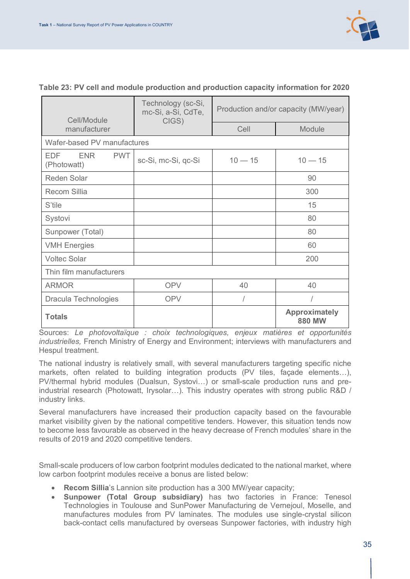

#### **Table 23: PV cell and module production and production capacity information for 2020**

| Cell/Module                                    | Technology (sc-Si,<br>mc-Si, a-Si, CdTe,<br>CIGS) | Production and/or capacity (MW/year) |                                |  |
|------------------------------------------------|---------------------------------------------------|--------------------------------------|--------------------------------|--|
| manufacturer                                   |                                                   | Cell                                 | Module                         |  |
| Wafer-based PV manufactures                    |                                                   |                                      |                                |  |
| <b>ENR</b><br><b>PWT</b><br>EDF<br>(Photowatt) | sc-Si, mc-Si, qc-Si                               | $10 - 15$                            | $10 - 15$                      |  |
| <b>Reden Solar</b>                             |                                                   |                                      | 90                             |  |
| <b>Recom Sillia</b>                            |                                                   |                                      | 300                            |  |
| S'tile                                         |                                                   |                                      | 15                             |  |
| Systovi                                        |                                                   |                                      | 80                             |  |
| Sunpower (Total)                               |                                                   |                                      | 80                             |  |
| <b>VMH Energies</b>                            |                                                   |                                      | 60                             |  |
| <b>Voltec Solar</b>                            |                                                   |                                      | 200                            |  |
| Thin film manufacturers                        |                                                   |                                      |                                |  |
| <b>ARMOR</b>                                   | <b>OPV</b>                                        | 40                                   | 40                             |  |
| Dracula Technologies                           | <b>OPV</b>                                        |                                      |                                |  |
| <b>Totals</b>                                  |                                                   |                                      | <b>Approximately</b><br>880 MW |  |

Sources: *Le photovoltaïque : choix technologiques, enjeux matières et opportunités industrielles,* French Ministry of Energy and Environment; interviews with manufacturers and Hespul treatment.

The national industry is relatively small, with several manufacturers targeting specific niche markets, often related to building integration products (PV tiles, façade elements…), PV/thermal hybrid modules (Dualsun, Systovi…) or small-scale production runs and preindustrial research (Photowatt, Irysolar…). This industry operates with strong public R&D / industry links.

Several manufacturers have increased their production capacity based on the favourable market visibility given by the national competitive tenders. However, this situation tends now to become less favourable as observed in the heavy decrease of French modules' share in the results of 2019 and 2020 competitive tenders.

Small-scale producers of low carbon footprint modules dedicated to the national market, where low carbon footprint modules receive a bonus are listed below:

- **Recom Sillia**'s Lannion site production has a 300 MW/year capacity;
- **Sunpower (Total Group subsidiary)** has two factories in France: Tenesol Technologies in Toulouse and SunPower Manufacturing de Vernejoul, Moselle, and manufactures modules from PV laminates. The modules use single-crystal silicon back-contact cells manufactured by overseas Sunpower factories, with industry high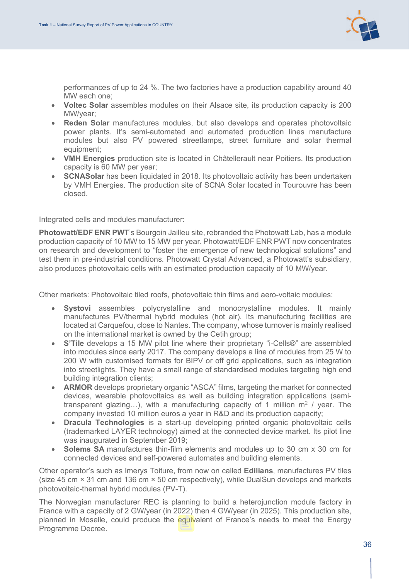

performances of up to 24 %. The two factories have a production capability around 40 MW each one;

- **Voltec Solar** assembles modules on their Alsace site, its production capacity is 200 MW/year;
- **Reden Solar** manufactures modules, but also develops and operates photovoltaic power plants. It's semi-automated and automated production lines manufacture modules but also PV powered streetlamps, street furniture and solar thermal equipment;
- **VMH Energies** production site is located in Châtellerault near Poitiers. Its production capacity is 60 MW per year;
- **SCNASolar** has been liquidated in 2018. Its photovoltaic activity has been undertaken by VMH Energies. The production site of SCNA Solar located in Tourouvre has been closed.

Integrated cells and modules manufacturer:

**Photowatt/EDF ENR PWT**'s Bourgoin Jailleu site, rebranded the Photowatt Lab, has a module production capacity of 10 MW to 15 MW per year. Photowatt/EDF ENR PWT now concentrates on research and development to "foster the emergence of new technological solutions" and test them in pre-industrial conditions. Photowatt Crystal Advanced, a Photowatt's subsidiary, also produces photovoltaic cells with an estimated production capacity of 10 MW/year.

Other markets: Photovoltaic tiled roofs, photovoltaic thin films and aero-voltaic modules:

- **Systovi** assembles polycrystalline and monocrystalline modules. It mainly manufactures PV/thermal hybrid modules (hot air). Its manufacturing facilities are located at Carquefou, close to Nantes. The company, whose turnover is mainly realised on the international market is owned by the Cetih group;
- **S'Tile** develops a 15 MW pilot line where their proprietary "i-Cells®" are assembled into modules since early 2017. The company develops a line of modules from 25 W to 200 W with customised formats for BIPV or off grid applications, such as integration into streetlights. They have a small range of standardised modules targeting high end building integration clients;
- **ARMOR** develops proprietary organic "ASCA" films, targeting the market for connected devices, wearable photovoltaics as well as building integration applications (semitransparent glazing...), with a manufacturing capacity of 1 million  $m^2$  / year. The company invested 10 million euros a year in R&D and its production capacity;
- **Dracula Technologies** is a start-up developing printed organic photovoltaic cells (trademarked LAYER technology) aimed at the connected device market. Its pilot line was inaugurated in September 2019;
- **Solems SA** manufactures thin-film elements and modules up to 30 cm x 30 cm for connected devices and self-powered automates and building elements.

Other operator's such as Imerys Toiture, from now on called **Edilians**, manufactures PV tiles (size 45 cm × 31 cm and 136 cm × 50 cm respectively), while DualSun develops and markets photovoltaic-thermal hybrid modules (PV-T).

The Norwegian manufacturer REC is planning to build a heterojunction module factory in France with a capacity of 2 GW/year (in 2022) then 4 GW/year (in 2025). This production site, planned in Moselle, could produce the equivalent of France's needs to meet the Energy Programme Decree.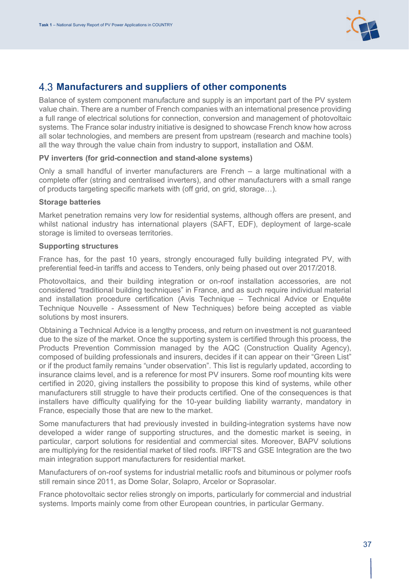

# <span id="page-37-0"></span>**Manufacturers and suppliers of other components**

Balance of system component manufacture and supply is an important part of the PV system value chain. There are a number of French companies with an international presence providing a full range of electrical solutions for connection, conversion and management of photovoltaic systems. The France solar industry initiative is designed to showcase French know how across all solar technologies, and members are present from upstream (research and machine tools) all the way through the value chain from industry to support, installation and O&M.

#### **PV inverters (for grid-connection and stand-alone systems)**

Only a small handful of inverter manufacturers are French – a large multinational with a complete offer (string and centralised inverters), and other manufacturers with a small range of products targeting specific markets with (off grid, on grid, storage…).

#### **Storage batteries**

Market penetration remains very low for residential systems, although offers are present, and whilst national industry has international players (SAFT, EDF), deployment of large-scale storage is limited to overseas territories.

#### **Supporting structures**

France has, for the past 10 years, strongly encouraged fully building integrated PV, with preferential feed-in tariffs and access to Tenders, only being phased out over 2017/2018.

Photovoltaics, and their building integration or on-roof installation accessories, are not considered "traditional building techniques" in France, and as such require individual material and installation procedure certification (Avis Technique – Technical Advice or Enquête Technique Nouvelle - Assessment of New Techniques) before being accepted as viable solutions by most insurers.

Obtaining a Technical Advice is a lengthy process, and return on investment is not guaranteed due to the size of the market. Once the supporting system is certified through this process, the Products Prevention Commission managed by the AQC (Construction Quality Agency), composed of building professionals and insurers, decides if it can appear on their "Green List" or if the product family remains "under observation". This list is regularly updated, according to insurance claims level, and is a reference for most PV insurers. Some roof mounting kits were certified in 2020, giving installers the possibility to propose this kind of systems, while other manufacturers still struggle to have their products certified. One of the consequences is that installers have difficulty qualifying for the 10-year building liability warranty, mandatory in France, especially those that are new to the market.

Some manufacturers that had previously invested in building-integration systems have now developed a wider range of supporting structures, and the domestic market is seeing, in particular, carport solutions for residential and commercial sites. Moreover, BAPV solutions are multiplying for the residential market of tiled roofs. IRFTS and GSE Integration are the two main integration support manufacturers for residential market.

Manufacturers of on-roof systems for industrial metallic roofs and bituminous or polymer roofs still remain since 2011, as Dome Solar, Solapro, Arcelor or Soprasolar.

France photovoltaic sector relies strongly on imports, particularly for commercial and industrial systems. Imports mainly come from other European countries, in particular Germany.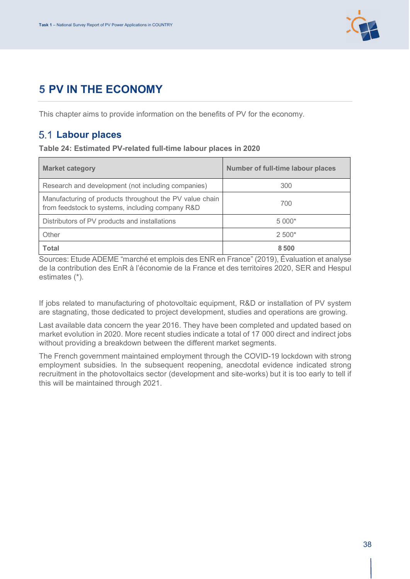

# <span id="page-38-0"></span>**5 PV IN THE ECONOMY**

This chapter aims to provide information on the benefits of PV for the economy.

# <span id="page-38-1"></span>**Labour places**

**Table 24: Estimated PV-related full-time labour places in 2020**

| <b>Market category</b>                                                                                      | Number of full-time labour places |
|-------------------------------------------------------------------------------------------------------------|-----------------------------------|
| Research and development (not including companies)                                                          | 300                               |
| Manufacturing of products throughout the PV value chain<br>from feedstock to systems, including company R&D | 700                               |
| Distributors of PV products and installations                                                               | $5000*$                           |
| Other                                                                                                       | $2,500*$                          |
| <b>Total</b>                                                                                                | 8500                              |

Sources: Etude ADEME "marché et emplois des ENR en France" (2019), Évaluation et analyse de la contribution des EnR à l'économie de la France et des territoires 2020, SER and Hespul estimates (\*).

If jobs related to manufacturing of photovoltaic equipment, R&D or installation of PV system are stagnating, those dedicated to project development, studies and operations are growing.

Last available data concern the year 2016. They have been completed and updated based on market evolution in 2020. More recent studies indicate a total of 17 000 direct and indirect jobs without providing a breakdown between the different market segments.

The French government maintained employment through the COVID-19 lockdown with strong employment subsidies. In the subsequent reopening, anecdotal evidence indicated strong recruitment in the photovoltaics sector (development and site-works) but it is too early to tell if this will be maintained through 2021.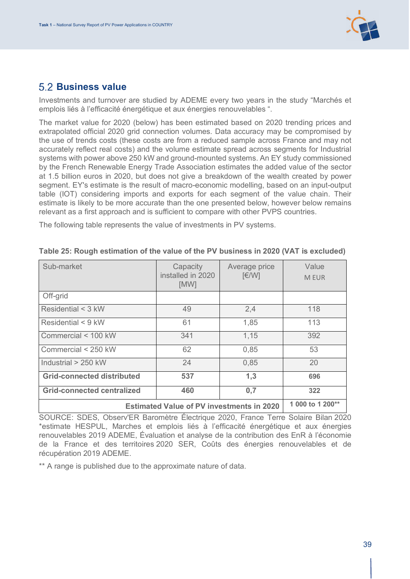

# <span id="page-39-0"></span>**Business value**

Investments and turnover are studied by ADEME every two years in the study "Marchés et emplois liés à l'efficacité énergétique et aux énergies renouvelables ".

The market value for 2020 (below) has been estimated based on 2020 trending prices and extrapolated official 2020 grid connection volumes. Data accuracy may be compromised by the use of trends costs (these costs are from a reduced sample across France and may not accurately reflect real costs) and the volume estimate spread across segments for Industrial systems with power above 250 kW and ground-mounted systems. An EY study commissioned by the French Renewable Energy Trade Association estimates the added value of the sector at 1.5 billion euros in 2020, but does not give a breakdown of the wealth created by power segment. EY's estimate is the result of macro-economic modelling, based on an input-output table (IOT) considering imports and exports for each segment of the value chain. Their estimate is likely to be more accurate than the one presented below, however below remains relevant as a first approach and is sufficient to compare with other PVPS countries.

The following table represents the value of investments in PV systems.

| Sub-market                                       | Capacity<br>installed in 2020<br>[MW] | Average price<br>F(N) | Value<br>M EUR   |
|--------------------------------------------------|---------------------------------------|-----------------------|------------------|
| Off-grid                                         |                                       |                       |                  |
| Residential < 3 kW                               | 49                                    | 2,4                   | 118              |
| Residential < 9 kW                               | 61                                    | 1,85                  | 113              |
| Commercial < 100 kW                              | 341                                   | 1,15                  | 392              |
| Commercial < 250 kW                              | 62                                    | 0.85                  | 53               |
| Industrial > 250 kW                              | 24                                    | 0.85                  | 20               |
| <b>Grid-connected distributed</b>                | 537                                   | 1,3                   | 696              |
| <b>Grid-connected centralized</b>                | 460                                   | 0,7                   | 322              |
| <b>Estimated Value of PV investments in 2020</b> |                                       |                       | 1 000 to 1 200** |

### **Table 25: Rough estimation of the value of the PV business in 2020 (VAT is excluded)**

SOURCE: SDES, Observ'ER Baromètre Électrique 2020, France Terre Solaire Bilan 2020 \*estimate HESPUL, Marches et emplois liés à l'efficacité énergétique et aux énergies renouvelables 2019 ADEME, Évaluation et analyse de la contribution des EnR à l'économie de la France et des territoires 2020 SER, Coûts des énergies renouvelables et de récupération 2019 ADEME.

\*\* A range is published due to the approximate nature of data.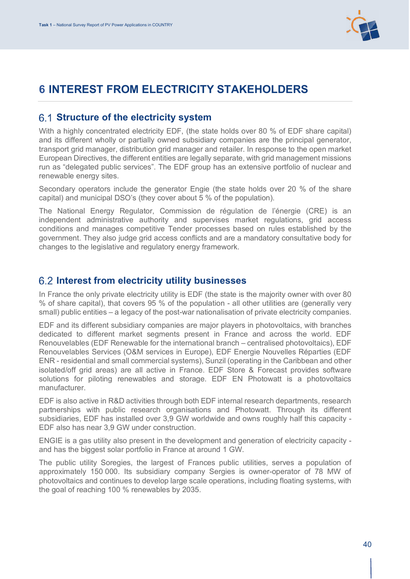

# <span id="page-40-0"></span>**6 INTEREST FROM ELECTRICITY STAKEHOLDERS**

# <span id="page-40-1"></span>**Structure of the electricity system**

With a highly concentrated electricity EDF, (the state holds over 80 % of EDF share capital) and its different wholly or partially owned subsidiary companies are the principal generator, transport grid manager, distribution grid manager and retailer. In response to the open market European Directives, the different entities are legally separate, with grid management missions run as "delegated public services". The EDF group has an extensive portfolio of nuclear and renewable energy sites.

Secondary operators include the generator Engie (the state holds over 20 % of the share capital) and municipal DSO's (they cover about 5 % of the population).

The National Energy Regulator, Commission de régulation de l'énergie (CRE) is an independent administrative authority and supervises market regulations, grid access conditions and manages competitive Tender processes based on rules established by the government. They also judge grid access conflicts and are a mandatory consultative body for changes to the legislative and regulatory energy framework.

# <span id="page-40-2"></span>**Interest from electricity utility businesses**

In France the only private electricity utility is EDF (the state is the majority owner with over 80 % of share capital), that covers 95 % of the population - all other utilities are (generally very small) public entities – a legacy of the post-war nationalisation of private electricity companies.

EDF and its different subsidiary companies are major players in photovoltaics, with branches dedicated to different market segments present in France and across the world. EDF Renouvelables (EDF Renewable for the international branch – centralised photovoltaics), EDF Renouvelables Services (O&M services in Europe), EDF Energie Nouvelles Réparties (EDF ENR - residential and small commercial systems), Sunzil (operating in the Caribbean and other isolated/off grid areas) are all active in France. EDF Store & Forecast provides software solutions for piloting renewables and storage. EDF EN Photowatt is a photovoltaics manufacturer.

EDF is also active in R&D activities through both EDF internal research departments, research partnerships with public research organisations and Photowatt. Through its different subsidiaries, EDF has installed over 3,9 GW worldwide and owns roughly half this capacity - EDF also has near 3,9 GW under construction.

ENGIE is a gas utility also present in the development and generation of electricity capacity and has the biggest solar portfolio in France at around 1 GW.

The public utility Soregies, the largest of Frances public utilities, serves a population of approximately 150 000. Its subsidiary company Sergies is owner-operator of 78 MW of photovoltaics and continues to develop large scale operations, including floating systems, with the goal of reaching 100 % renewables by 2035.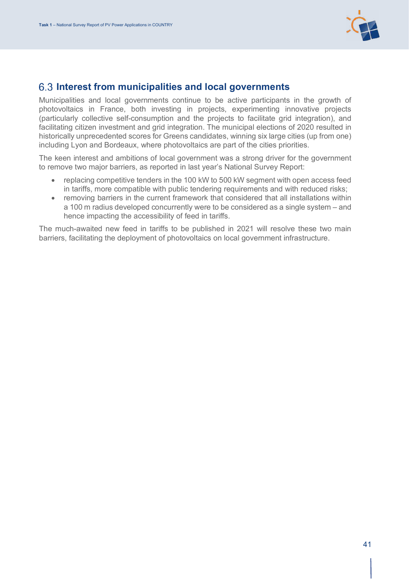

# <span id="page-41-0"></span>**Interest from municipalities and local governments**

Municipalities and local governments continue to be active participants in the growth of photovoltaics in France, both investing in projects, experimenting innovative projects (particularly collective self-consumption and the projects to facilitate grid integration), and facilitating citizen investment and grid integration. The municipal elections of 2020 resulted in historically unprecedented scores for Greens candidates, winning six large cities (up from one) including Lyon and Bordeaux, where photovoltaics are part of the cities priorities.

The keen interest and ambitions of local government was a strong driver for the government to remove two major barriers, as reported in last year's National Survey Report:

- replacing competitive tenders in the 100 kW to 500 kW segment with open access feed in tariffs, more compatible with public tendering requirements and with reduced risks;
- removing barriers in the current framework that considered that all installations within a 100 m radius developed concurrently were to be considered as a single system – and hence impacting the accessibility of feed in tariffs.

The much-awaited new feed in tariffs to be published in 2021 will resolve these two main barriers, facilitating the deployment of photovoltaics on local government infrastructure.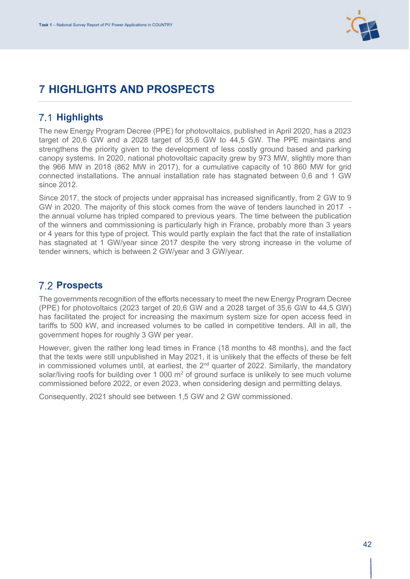

# <span id="page-42-0"></span>**7 HIGHLIGHTS AND PROSPECTS**

# <span id="page-42-1"></span>**7.1 Highlights**

The new Energy Program Decree (PPE) for photovoltaics, published in April 2020, has a 2023 target of 20,6 GW and a 2028 target of 35,6 GW to 44,5 GW. The PPE maintains and strengthens the priority given to the development of less costly ground based and parking canopy systems. In 2020, national photovoltaic capacity grew by 973 MW, slightly more than the 966 MW in 2018 (862 MW in 2017), for a cumulative capacity of 10 860 MW for grid connected installations. The annual installation rate has stagnated between 0,6 and 1 GW since 2012.

Since 2017, the stock of projects under appraisal has increased significantly, from 2 GW to 9 GW in 2020. The majority of this stock comes from the wave of tenders launched in 2017 the annual volume has tripled compared to previous years. The time between the publication of the winners and commissioning is particularly high in France, probably more than 3 years or 4 years for this type of project. This would partly explain the fact that the rate of installation has stagnated at 1 GW/year since 2017 despite the very strong increase in the volume of tender winners, which is between 2 GW/year and 3 GW/year.

# <span id="page-42-2"></span>**7.2 Prospects**

The governments recognition of the efforts necessary to meet the new Energy Program Decree (PPE) for photovoltaics (2023 target of 20,6 GW and a 2028 target of 35,6 GW to 44,5 GW) has facilitated the project for increasing the maximum system size for open access feed in tariffs to 500 kW, and increased volumes to be called in competitive tenders. All in all, the government hopes for roughly 3 GW per year.

However, given the rather long lead times in France (18 months to 48 months), and the fact that the texts were still unpublished in May 2021, it is unlikely that the effects of these be felt in commissioned volumes until, at earliest, the  $2<sup>nd</sup>$  quarter of 2022. Similarly, the mandatory solar/living roofs for building over 1 000  $m^2$  of ground surface is unlikely to see much volume commissioned before 2022, or even 2023, when considering design and permitting delays.

Consequently, 2021 should see between 1,5 GW and 2 GW commissioned.